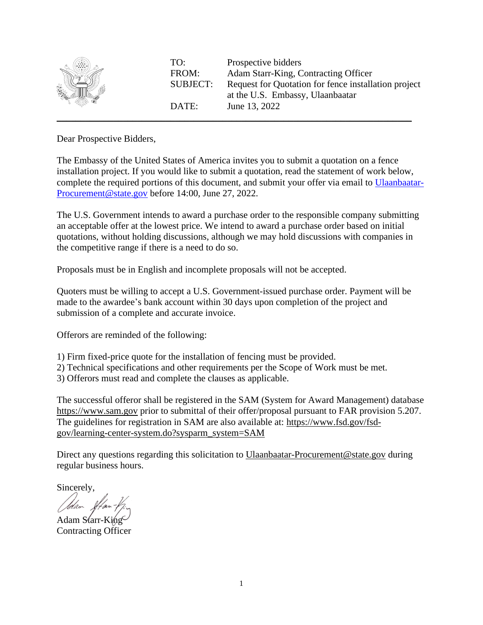|  | TO:<br>FROM:<br><b>SUBJECT:</b><br>DATE: | Prospective bidders<br>Adam Starr-King, Contracting Officer<br>Request for Quotation for fence installation project<br>at the U.S. Embassy, Ulaanbaatar<br>June 13, 2022 |
|--|------------------------------------------|--------------------------------------------------------------------------------------------------------------------------------------------------------------------------|
|--|------------------------------------------|--------------------------------------------------------------------------------------------------------------------------------------------------------------------------|

Dear Prospective Bidders,

The Embassy of the United States of America invites you to submit a quotation on a fence installation project. If you would like to submit a quotation, read the statement of work below, complete the required portions of this document, and submit your offer via email to [Ulaanbaatar-](mailto:Ulaanbaatar-Procurement@state.gov)[Procurement@state.gov](mailto:Ulaanbaatar-Procurement@state.gov) before 14:00, June 27, 2022.

The U.S. Government intends to award a purchase order to the responsible company submitting an acceptable offer at the lowest price. We intend to award a purchase order based on initial quotations, without holding discussions, although we may hold discussions with companies in the competitive range if there is a need to do so.

Proposals must be in English and incomplete proposals will not be accepted.

Quoters must be willing to accept a U.S. Government-issued purchase order. Payment will be made to the awardee's bank account within 30 days upon completion of the project and submission of a complete and accurate invoice.

Offerors are reminded of the following:

- 1) Firm fixed-price quote for the installation of fencing must be provided.
- 2) Technical specifications and other requirements per the Scope of Work must be met.
- 3) Offerors must read and complete the clauses as applicable.

The successful offeror shall be registered in the SAM (System for Award Management) database [https://www.sam.gov](https://gcc02.safelinks.protection.outlook.com/?url=https%3A%2F%2Fwww.sam.gov%2F&data=04%7C01%7CLowtherla%40state.gov%7C57e2b327650240b9ca9c08da082274d5%7C66cf50745afe48d1a691a12b2121f44b%7C0%7C0%7C637831241341532903%7CUnknown%7CTWFpbGZsb3d8eyJWIjoiMC4wLjAwMDAiLCJQIjoiV2luMzIiLCJBTiI6Ik1haWwiLCJXVCI6Mn0%3D%7C3000&sdata=VIF13klcLkUxisUCvfwSehF8au0qMnu1Qq5lvuoD2Xo%3D&reserved=0) prior to submittal of their offer/proposal pursuant to FAR provision 5.207. The guidelines for registration in SAM are also available at: [https://www.fsd.gov/fsd](https://gcc02.safelinks.protection.outlook.com/?url=https%3A%2F%2Fwww.fsd.gov%2Ffsd-gov%2Flearning-center-system.do%3Fsysparm_system%3DSAM&data=04%7C01%7CLowtherla%40state.gov%7C57e2b327650240b9ca9c08da082274d5%7C66cf50745afe48d1a691a12b2121f44b%7C0%7C0%7C637831241341532903%7CUnknown%7CTWFpbGZsb3d8eyJWIjoiMC4wLjAwMDAiLCJQIjoiV2luMzIiLCJBTiI6Ik1haWwiLCJXVCI6Mn0%3D%7C3000&sdata=gxkf5NsRakVIehwUyLFvSxVkIk3w%2BjgTkaKNsLKfHYk%3D&reserved=0)[gov/learning-center-system.do?sysparm\\_system=SAM](https://gcc02.safelinks.protection.outlook.com/?url=https%3A%2F%2Fwww.fsd.gov%2Ffsd-gov%2Flearning-center-system.do%3Fsysparm_system%3DSAM&data=04%7C01%7CLowtherla%40state.gov%7C57e2b327650240b9ca9c08da082274d5%7C66cf50745afe48d1a691a12b2121f44b%7C0%7C0%7C637831241341532903%7CUnknown%7CTWFpbGZsb3d8eyJWIjoiMC4wLjAwMDAiLCJQIjoiV2luMzIiLCJBTiI6Ik1haWwiLCJXVCI6Mn0%3D%7C3000&sdata=gxkf5NsRakVIehwUyLFvSxVkIk3w%2BjgTkaKNsLKfHYk%3D&reserved=0) 

Direct any questions regarding this solicitation to [Ulaanbaatar-Procurement@state.gov](mailto:Ulaanbaatar-Procurement@state.gov) during regular business hours.

Sincerely,

*Udam* Stan-Y;. Adam Starr-King

Contracting Officer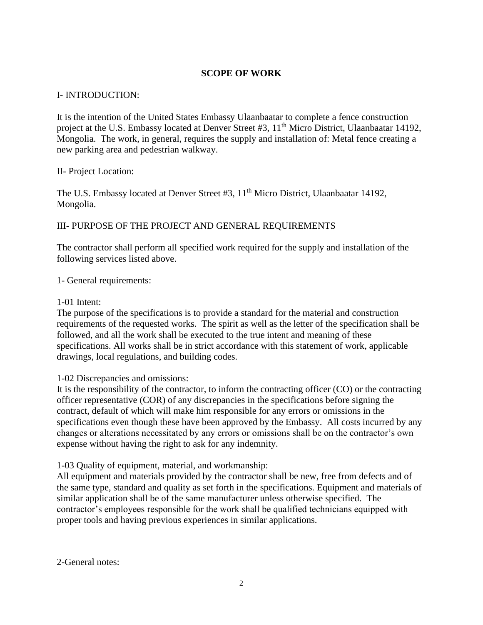# **SCOPE OF WORK**

#### I- INTRODUCTION:

It is the intention of the United States Embassy Ulaanbaatar to complete a fence construction project at the U.S. Embassy located at Denver Street #3, 11<sup>th</sup> Micro District, Ulaanbaatar 14192, Mongolia. The work, in general, requires the supply and installation of: Metal fence creating a new parking area and pedestrian walkway.

#### II- Project Location:

The U.S. Embassy located at Denver Street #3, 11<sup>th</sup> Micro District, Ulaanbaatar 14192, Mongolia.

# III- PURPOSE OF THE PROJECT AND GENERAL REQUIREMENTS

The contractor shall perform all specified work required for the supply and installation of the following services listed above.

1- General requirements:

#### 1-01 Intent:

The purpose of the specifications is to provide a standard for the material and construction requirements of the requested works. The spirit as well as the letter of the specification shall be followed, and all the work shall be executed to the true intent and meaning of these specifications. All works shall be in strict accordance with this statement of work, applicable drawings, local regulations, and building codes.

#### 1-02 Discrepancies and omissions:

It is the responsibility of the contractor, to inform the contracting officer (CO) or the contracting officer representative (COR) of any discrepancies in the specifications before signing the contract, default of which will make him responsible for any errors or omissions in the specifications even though these have been approved by the Embassy. All costs incurred by any changes or alterations necessitated by any errors or omissions shall be on the contractor's own expense without having the right to ask for any indemnity.

1-03 Quality of equipment, material, and workmanship:

All equipment and materials provided by the contractor shall be new, free from defects and of the same type, standard and quality as set forth in the specifications. Equipment and materials of similar application shall be of the same manufacturer unless otherwise specified. The contractor's employees responsible for the work shall be qualified technicians equipped with proper tools and having previous experiences in similar applications.

2-General notes: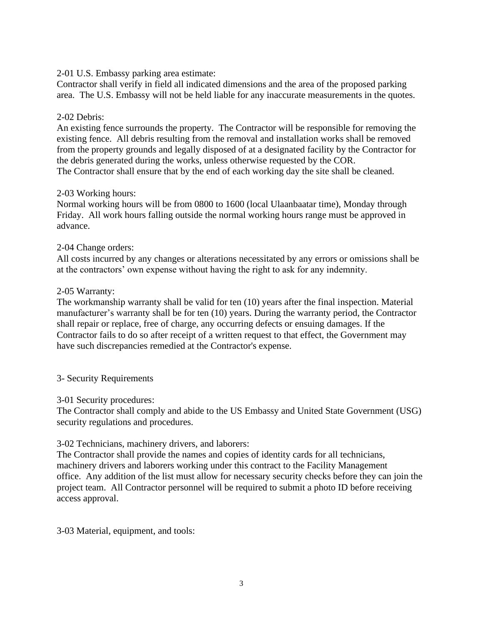#### 2-01 U.S. Embassy parking area estimate:

Contractor shall verify in field all indicated dimensions and the area of the proposed parking area. The U.S. Embassy will not be held liable for any inaccurate measurements in the quotes.

# 2-02 Debris:

An existing fence surrounds the property. The Contractor will be responsible for removing the existing fence. All debris resulting from the removal and installation works shall be removed from the property grounds and legally disposed of at a designated facility by the Contractor for the debris generated during the works, unless otherwise requested by the COR. The Contractor shall ensure that by the end of each working day the site shall be cleaned.

#### 2-03 Working hours:

Normal working hours will be from 0800 to 1600 (local Ulaanbaatar time), Monday through Friday. All work hours falling outside the normal working hours range must be approved in advance.

# 2-04 Change orders:

All costs incurred by any changes or alterations necessitated by any errors or omissions shall be at the contractors' own expense without having the right to ask for any indemnity.

#### 2-05 Warranty:

The workmanship warranty shall be valid for ten (10) years after the final inspection. Material manufacturer's warranty shall be for ten (10) years. During the warranty period, the Contractor shall repair or replace, free of charge, any occurring defects or ensuing damages. If the Contractor fails to do so after receipt of a written request to that effect, the Government may have such discrepancies remedied at the Contractor's expense.

#### 3- Security Requirements

#### 3-01 Security procedures:

The Contractor shall comply and abide to the US Embassy and United State Government (USG) security regulations and procedures.

#### 3-02 Technicians, machinery drivers, and laborers:

The Contractor shall provide the names and copies of identity cards for all technicians, machinery drivers and laborers working under this contract to the Facility Management office. Any addition of the list must allow for necessary security checks before they can join the project team. All Contractor personnel will be required to submit a photo ID before receiving access approval.

3-03 Material, equipment, and tools: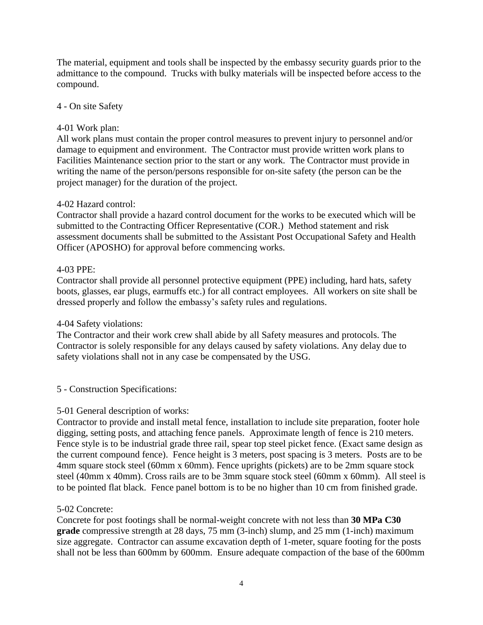The material, equipment and tools shall be inspected by the embassy security guards prior to the admittance to the compound. Trucks with bulky materials will be inspected before access to the compound.

# 4 - On site Safety

# 4-01 Work plan:

All work plans must contain the proper control measures to prevent injury to personnel and/or damage to equipment and environment. The Contractor must provide written work plans to Facilities Maintenance section prior to the start or any work. The Contractor must provide in writing the name of the person/persons responsible for on-site safety (the person can be the project manager) for the duration of the project.

# 4-02 Hazard control:

Contractor shall provide a hazard control document for the works to be executed which will be submitted to the Contracting Officer Representative (COR.) Method statement and risk assessment documents shall be submitted to the Assistant Post Occupational Safety and Health Officer (APOSHO) for approval before commencing works.

# 4-03 PPE:

Contractor shall provide all personnel protective equipment (PPE) including, hard hats, safety boots, glasses, ear plugs, earmuffs etc.) for all contract employees. All workers on site shall be dressed properly and follow the embassy's safety rules and regulations.

# 4-04 Safety violations:

The Contractor and their work crew shall abide by all Safety measures and protocols. The Contractor is solely responsible for any delays caused by safety violations. Any delay due to safety violations shall not in any case be compensated by the USG.

# 5 - Construction Specifications:

# 5-01 General description of works:

Contractor to provide and install metal fence, installation to include site preparation, footer hole digging, setting posts, and attaching fence panels. Approximate length of fence is 210 meters. Fence style is to be industrial grade three rail, spear top steel picket fence. (Exact same design as the current compound fence). Fence height is 3 meters, post spacing is 3 meters. Posts are to be 4mm square stock steel (60mm x 60mm). Fence uprights (pickets) are to be 2mm square stock steel (40mm x 40mm). Cross rails are to be 3mm square stock steel (60mm x 60mm). All steel is to be pointed flat black. Fence panel bottom is to be no higher than 10 cm from finished grade.

#### 5-02 Concrete:

Concrete for post footings shall be normal-weight concrete with not less than **30 MPa C30 grade** compressive strength at 28 days, 75 mm (3-inch) slump, and 25 mm (1-inch) maximum size aggregate. Contractor can assume excavation depth of 1-meter, square footing for the posts shall not be less than 600mm by 600mm. Ensure adequate compaction of the base of the 600mm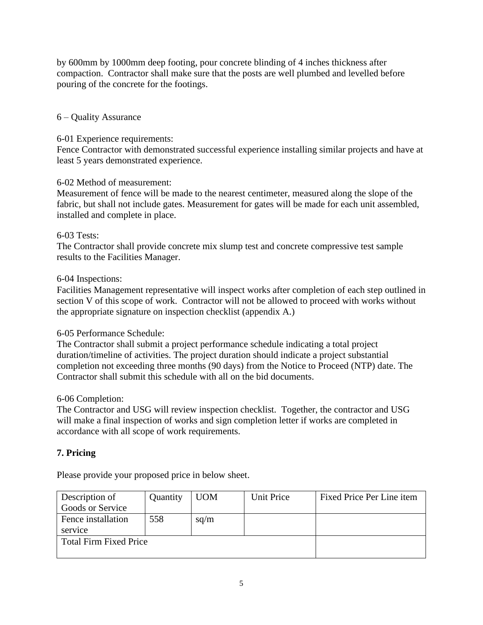by 600mm by 1000mm deep footing, pour concrete blinding of 4 inches thickness after compaction. Contractor shall make sure that the posts are well plumbed and levelled before pouring of the concrete for the footings.

# 6 – Quality Assurance

# 6-01 Experience requirements:

Fence Contractor with demonstrated successful experience installing similar projects and have at least 5 years demonstrated experience.

# 6-02 Method of measurement:

Measurement of fence will be made to the nearest centimeter, measured along the slope of the fabric, but shall not include gates. Measurement for gates will be made for each unit assembled, installed and complete in place.

#### 6-03 Tests:

The Contractor shall provide concrete mix slump test and concrete compressive test sample results to the Facilities Manager.

#### 6-04 Inspections:

Facilities Management representative will inspect works after completion of each step outlined in section V of this scope of work. Contractor will not be allowed to proceed with works without the appropriate signature on inspection checklist (appendix A.)

#### 6-05 Performance Schedule:

The Contractor shall submit a project performance schedule indicating a total project duration/timeline of activities. The project duration should indicate a project substantial completion not exceeding three months (90 days) from the Notice to Proceed (NTP) date. The Contractor shall submit this schedule with all on the bid documents.

#### 6-06 Completion:

The Contractor and USG will review inspection checklist. Together, the contractor and USG will make a final inspection of works and sign completion letter if works are completed in accordance with all scope of work requirements.

# **7. Pricing**

Please provide your proposed price in below sheet.

| Description of                | Quantity | <b>UOM</b> | Unit Price | Fixed Price Per Line item |
|-------------------------------|----------|------------|------------|---------------------------|
| Goods or Service              |          |            |            |                           |
| Fence installation            | 558      | sq/m       |            |                           |
| service                       |          |            |            |                           |
| <b>Total Firm Fixed Price</b> |          |            |            |                           |
|                               |          |            |            |                           |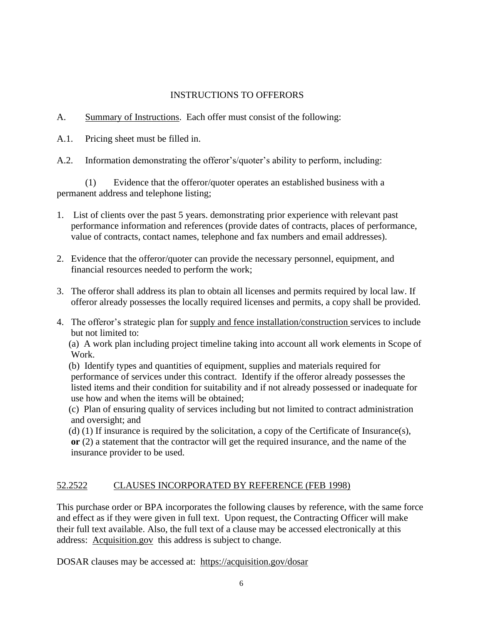# INSTRUCTIONS TO OFFERORS

- A. Summary of Instructions. Each offer must consist of the following:
- A.1. Pricing sheet must be filled in.
- A.2. Information demonstrating the offeror's/quoter's ability to perform, including:

(1) Evidence that the offeror/quoter operates an established business with a permanent address and telephone listing;

- 1. List of clients over the past 5 years. demonstrating prior experience with relevant past performance information and references (provide dates of contracts, places of performance, value of contracts, contact names, telephone and fax numbers and email addresses).
- 2. Evidence that the offeror/quoter can provide the necessary personnel, equipment, and financial resources needed to perform the work;
- 3. The offeror shall address its plan to obtain all licenses and permits required by local law. If offeror already possesses the locally required licenses and permits, a copy shall be provided.
- 4. The offeror's strategic plan for supply and fence installation/construction services to include but not limited to:

 (a) A work plan including project timeline taking into account all work elements in Scope of Work.

 (b) Identify types and quantities of equipment, supplies and materials required for performance of services under this contract. Identify if the offeror already possesses the listed items and their condition for suitability and if not already possessed or inadequate for use how and when the items will be obtained;

- (c) Plan of ensuring quality of services including but not limited to contract administration and oversight; and
- (d) (1) If insurance is required by the solicitation, a copy of the Certificate of Insurance(s), **or** (2) a statement that the contractor will get the required insurance, and the name of the insurance provider to be used.

# 52.2522 CLAUSES INCORPORATED BY REFERENCE (FEB 1998)

This purchase order or BPA incorporates the following clauses by reference, with the same force and effect as if they were given in full text. Upon request, the Contracting Officer will make their full text available. Also, the full text of a clause may be accessed electronically at this address: [Acquisition.gov](https://acquisition.gov/browse/index/far) this address is subject to change.

DOSAR clauses may be accessed at: <https://acquisition.gov/dosar>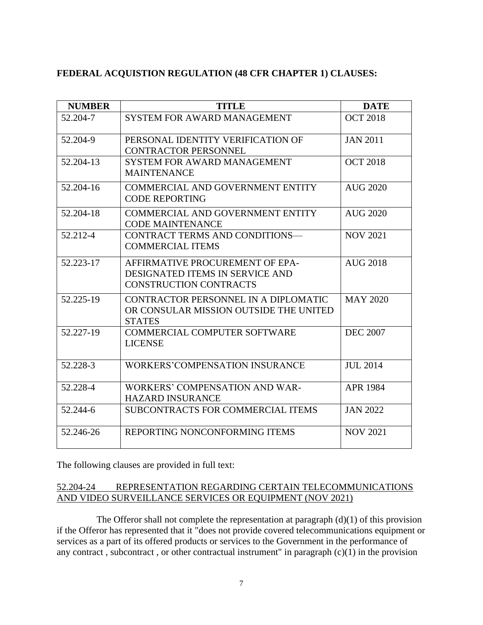# **FEDERAL ACQUISTION REGULATION (48 CFR CHAPTER 1) CLAUSES:**

| <b>NUMBER</b> | <b>TITLE</b>                                                                                        | <b>DATE</b>     |
|---------------|-----------------------------------------------------------------------------------------------------|-----------------|
| 52.204-7      | <b>SYSTEM FOR AWARD MANAGEMENT</b>                                                                  | <b>OCT 2018</b> |
| 52.204-9      | PERSONAL IDENTITY VERIFICATION OF<br><b>CONTRACTOR PERSONNEL</b>                                    | <b>JAN 2011</b> |
| 52.204-13     | <b>SYSTEM FOR AWARD MANAGEMENT</b><br><b>MAINTENANCE</b>                                            | <b>OCT 2018</b> |
| 52.204-16     | <b>COMMERCIAL AND GOVERNMENT ENTITY</b><br><b>CODE REPORTING</b>                                    | <b>AUG 2020</b> |
| 52.204-18     | COMMERCIAL AND GOVERNMENT ENTITY<br><b>CODE MAINTENANCE</b>                                         | <b>AUG 2020</b> |
| 52.212-4      | CONTRACT TERMS AND CONDITIONS-<br><b>COMMERCIAL ITEMS</b>                                           | <b>NOV 2021</b> |
| 52.223-17     | AFFIRMATIVE PROCUREMENT OF EPA-<br>DESIGNATED ITEMS IN SERVICE AND<br><b>CONSTRUCTION CONTRACTS</b> | <b>AUG 2018</b> |
| 52.225-19     | CONTRACTOR PERSONNEL IN A DIPLOMATIC<br>OR CONSULAR MISSION OUTSIDE THE UNITED<br><b>STATES</b>     | <b>MAY 2020</b> |
| 52.227-19     | COMMERCIAL COMPUTER SOFTWARE<br><b>LICENSE</b>                                                      | <b>DEC 2007</b> |
| 52.228-3      | <b>WORKERS'COMPENSATION INSURANCE</b>                                                               | <b>JUL 2014</b> |
| 52.228-4      | <b>WORKERS' COMPENSATION AND WAR-</b><br><b>HAZARD INSURANCE</b>                                    | <b>APR 1984</b> |
| 52.244-6      | <b>SUBCONTRACTS FOR COMMERCIAL ITEMS</b>                                                            | <b>JAN 2022</b> |
| 52.246-26     | REPORTING NONCONFORMING ITEMS                                                                       | <b>NOV 2021</b> |

The following clauses are provided in full text:

#### 52.204-24 REPRESENTATION REGARDING CERTAIN TELECOMMUNICATIONS AND VIDEO SURVEILLANCE SERVICES OR EQUIPMENT (NOV 2021)

The Offeror shall not complete the representation at paragraph  $(d)(1)$  of this provision if the Offeror has represented that it "does not provide covered telecommunications equipment or services as a part of its offered products or services to the Government in the performance of any contract, subcontract, or other contractual instrument" in paragraph  $(c)(1)$  in the provision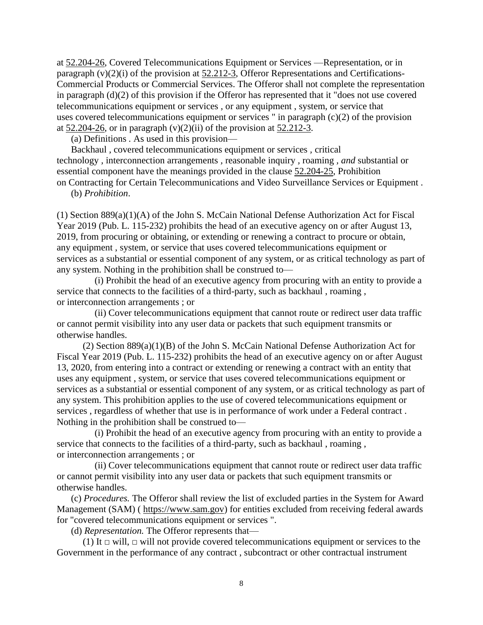at [52.204-26,](https://www.acquisition.gov/far/part-52#FAR_52_204_26) Covered Telecommunications Equipment or Services —Representation, or in paragraph (v)(2)(i) of the provision at [52.212-3,](https://www.acquisition.gov/far/part-52#FAR_52_212_3) Offeror Representations and Certifications-Commercial Products or Commercial Services. The Offeror shall not complete the representation in paragraph (d)(2) of this provision if the Offeror has represented that it "does not use covered telecommunications equipment or services , or any equipment , system, or service that uses covered telecommunications equipment or services " in paragraph (c)(2) of the provision at  $52.204 - 26$ , or in paragraph (v)(2)(ii) of the provision at  $52.212 - 3$ .

(a) Definitions *.* As used in this provision—

 Backhaul *,* covered telecommunications equipment or services *,* critical technology *,* interconnection arrangements *,* reasonable inquiry *,* roaming *, and* substantial or essential component have the meanings provided in the clause [52.204-25,](https://www.acquisition.gov/far/part-52#FAR_52_204_25) Prohibition on Contracting for Certain Telecommunications and Video Surveillance Services or Equipment .

(b) *Prohibition*.

 $(1)$  Section 889(a)(1)(A) of the John S. McCain National Defense Authorization Act for Fiscal Year 2019 (Pub. L. 115-232) prohibits the head of an executive agency on or after August 13, 2019, from procuring or obtaining, or extending or renewing a contract to procure or obtain, any equipment , system, or service that uses covered telecommunications equipment or services as a substantial or essential component of any system, or as critical technology as part of any system. Nothing in the prohibition shall be construed to—

 (i) Prohibit the head of an executive agency from procuring with an entity to provide a service that connects to the facilities of a third-party, such as backhaul , roaming , or interconnection arrangements ; or

 (ii) Cover telecommunications equipment that cannot route or redirect user data traffic or cannot permit visibility into any user data or packets that such equipment transmits or otherwise handles.

 (2) Section 889(a)(1)(B) of the John S. McCain National Defense Authorization Act for Fiscal Year 2019 (Pub. L. 115-232) prohibits the head of an executive agency on or after August 13, 2020, from entering into a contract or extending or renewing a contract with an entity that uses any equipment , system, or service that uses covered telecommunications equipment or services as a substantial or essential component of any system, or as critical technology as part of any system. This prohibition applies to the use of covered telecommunications equipment or services , regardless of whether that use is in performance of work under a Federal contract . Nothing in the prohibition shall be construed to—

 (i) Prohibit the head of an executive agency from procuring with an entity to provide a service that connects to the facilities of a third-party, such as backhaul , roaming , or interconnection arrangements ; or

 (ii) Cover telecommunications equipment that cannot route or redirect user data traffic or cannot permit visibility into any user data or packets that such equipment transmits or otherwise handles.

 (c) *Procedures.* The Offeror shall review the list of excluded parties in the System for Award Management (SAM) ( [https://www.sam.gov\)](https://www.sam.gov/) for entities excluded from receiving federal awards for "covered telecommunications equipment or services ".

(d) *Representation.* The Offeror represents that—

 (1) It *□* will, *□* will not provide covered telecommunications equipment or services to the Government in the performance of any contract , subcontract or other contractual instrument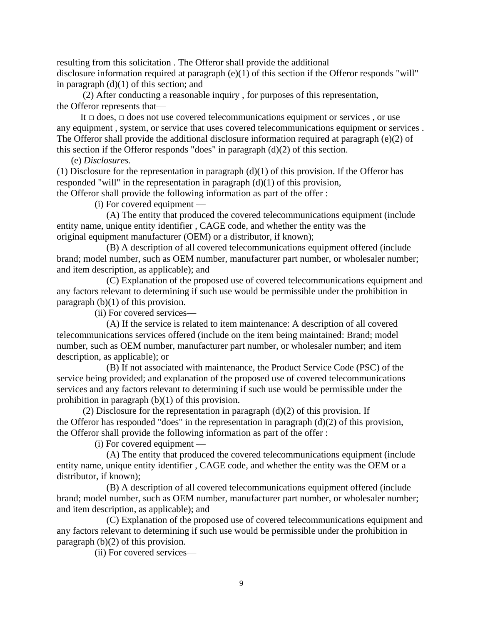resulting from this solicitation . The Offeror shall provide the additional disclosure information required at paragraph (e)(1) of this section if the Offeror responds "will" in paragraph  $(d)(1)$  of this section; and

 (2) After conducting a reasonable inquiry , for purposes of this representation, the Offeror represents that—

 It *□* does, *□* does not use covered telecommunications equipment or services , or use any equipment , system, or service that uses covered telecommunications equipment or services . The Offeror shall provide the additional disclosure information required at paragraph (e)(2) of this section if the Offeror responds "does" in paragraph (d)(2) of this section.

(e) *Disclosures.*

(1) Disclosure for the representation in paragraph  $(d)(1)$  of this provision. If the Offeror has responded "will" in the representation in paragraph (d)(1) of this provision,

the Offeror shall provide the following information as part of the offer :

(i) For covered equipment —

 (A) The entity that produced the covered telecommunications equipment (include entity name, unique entity identifier , CAGE code, and whether the entity was the original equipment manufacturer (OEM) or a distributor, if known);

 (B) A description of all covered telecommunications equipment offered (include brand; model number, such as OEM number, manufacturer part number, or wholesaler number; and item description, as applicable); and

 (C) Explanation of the proposed use of covered telecommunications equipment and any factors relevant to determining if such use would be permissible under the prohibition in paragraph (b)(1) of this provision.

(ii) For covered services—

 (A) If the service is related to item maintenance: A description of all covered telecommunications services offered (include on the item being maintained: Brand; model number, such as OEM number, manufacturer part number, or wholesaler number; and item description, as applicable); or

 (B) If not associated with maintenance, the Product Service Code (PSC) of the service being provided; and explanation of the proposed use of covered telecommunications services and any factors relevant to determining if such use would be permissible under the prohibition in paragraph (b)(1) of this provision.

(2) Disclosure for the representation in paragraph  $(d)(2)$  of this provision. If the Offeror has responded "does" in the representation in paragraph  $(d)(2)$  of this provision, the Offeror shall provide the following information as part of the offer :

(i) For covered equipment —

 (A) The entity that produced the covered telecommunications equipment (include entity name, unique entity identifier , CAGE code, and whether the entity was the OEM or a distributor, if known);

 (B) A description of all covered telecommunications equipment offered (include brand; model number, such as OEM number, manufacturer part number, or wholesaler number; and item description, as applicable); and

 (C) Explanation of the proposed use of covered telecommunications equipment and any factors relevant to determining if such use would be permissible under the prohibition in paragraph (b)(2) of this provision.

(ii) For covered services—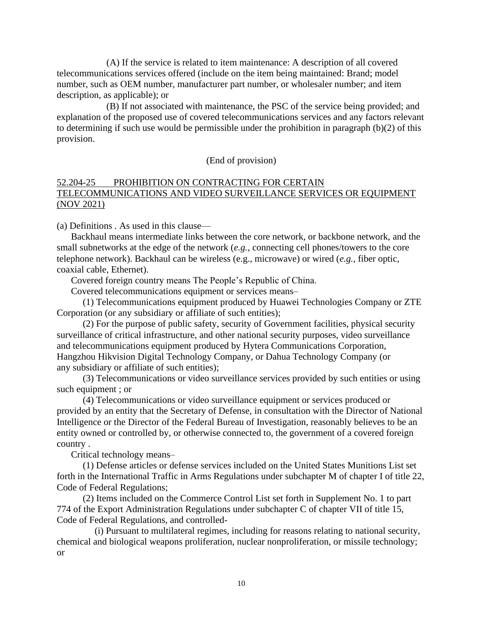(A) If the service is related to item maintenance: A description of all covered telecommunications services offered (include on the item being maintained: Brand; model number, such as OEM number, manufacturer part number, or wholesaler number; and item description, as applicable); or

 (B) If not associated with maintenance, the PSC of the service being provided; and explanation of the proposed use of covered telecommunications services and any factors relevant to determining if such use would be permissible under the prohibition in paragraph (b)(2) of this provision.

(End of provision)

# 52.204-25 PROHIBITION ON CONTRACTING FOR CERTAIN TELECOMMUNICATIONS AND VIDEO SURVEILLANCE SERVICES OR EQUIPMENT (NOV 2021)

(a) Definitions *.* As used in this clause—

 Backhaul means intermediate links between the core network, or backbone network, and the small subnetworks at the edge of the network (*e.g.*, connecting cell phones/towers to the core telephone network). Backhaul can be wireless (e.g., microwave) or wired (*e.g.*, fiber optic, coaxial cable, Ethernet).

Covered foreign country means The People's Republic of China.

Covered telecommunications equipment or services means–

 (1) Telecommunications equipment produced by Huawei Technologies Company or ZTE Corporation (or any subsidiary or affiliate of such entities);

 (2) For the purpose of public safety, security of Government facilities, physical security surveillance of critical infrastructure, and other national security purposes, video surveillance and telecommunications equipment produced by Hytera Communications Corporation, Hangzhou Hikvision Digital Technology Company, or Dahua Technology Company (or any subsidiary or affiliate of such entities);

 (3) Telecommunications or video surveillance services provided by such entities or using such equipment ; or

 (4) Telecommunications or video surveillance equipment or services produced or provided by an entity that the Secretary of Defense, in consultation with the Director of National Intelligence or the Director of the Federal Bureau of Investigation, reasonably believes to be an entity owned or controlled by, or otherwise connected to, the government of a covered foreign country .

Critical technology means–

 (1) Defense articles or defense services included on the United States Munitions List set forth in the International Traffic in Arms Regulations under subchapter M of chapter I of title 22, Code of Federal Regulations;

 (2) Items included on the Commerce Control List set forth in Supplement No. 1 to part 774 of the Export Administration Regulations under subchapter C of chapter VII of title 15, Code of Federal Regulations, and controlled-

 (i) Pursuant to multilateral regimes, including for reasons relating to national security, chemical and biological weapons proliferation, nuclear nonproliferation, or missile technology; or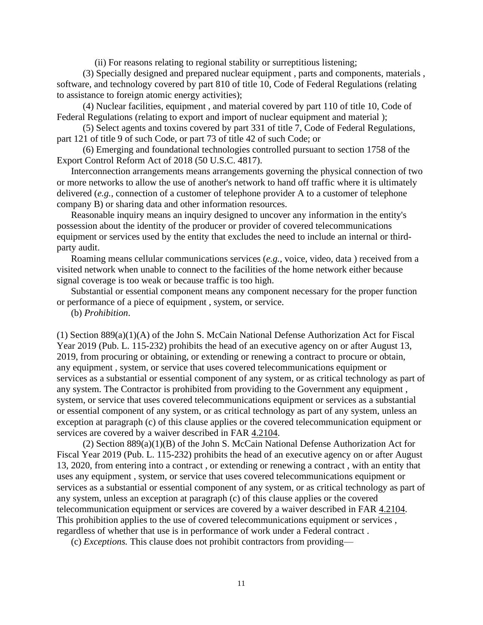(ii) For reasons relating to regional stability or surreptitious listening;

 (3) Specially designed and prepared nuclear equipment , parts and components, materials , software, and technology covered by part 810 of title 10, Code of Federal Regulations (relating to assistance to foreign atomic energy activities);

 (4) Nuclear facilities, equipment , and material covered by part 110 of title 10, Code of Federal Regulations (relating to export and import of nuclear equipment and material );

 (5) Select agents and toxins covered by part 331 of title 7, Code of Federal Regulations, part 121 of title 9 of such Code, or part 73 of title 42 of such Code; or

 (6) Emerging and foundational technologies controlled pursuant to section 1758 of the Export Control Reform Act of 2018 (50 U.S.C. 4817).

 Interconnection arrangements means arrangements governing the physical connection of two or more networks to allow the use of another's network to hand off traffic where it is ultimately delivered (*e.g.*, connection of a customer of telephone provider A to a customer of telephone company B) or sharing data and other information resources.

 Reasonable inquiry means an inquiry designed to uncover any information in the entity's possession about the identity of the producer or provider of covered telecommunications equipment or services used by the entity that excludes the need to include an internal or thirdparty audit.

 Roaming means cellular communications services (*e.g.*, voice, video, data ) received from a visited network when unable to connect to the facilities of the home network either because signal coverage is too weak or because traffic is too high.

 Substantial or essential component means any component necessary for the proper function or performance of a piece of equipment , system, or service.

(b) *Prohibition*.

(1) Section 889(a)(1)(A) of the John S. McCain National Defense Authorization Act for Fiscal Year 2019 (Pub. L. 115-232) prohibits the head of an executive agency on or after August 13, 2019, from procuring or obtaining, or extending or renewing a contract to procure or obtain, any equipment , system, or service that uses covered telecommunications equipment or services as a substantial or essential component of any system, or as critical technology as part of any system. The Contractor is prohibited from providing to the Government any equipment , system, or service that uses covered telecommunications equipment or services as a substantial or essential component of any system, or as critical technology as part of any system, unless an exception at paragraph (c) of this clause applies or the covered telecommunication equipment or services are covered by a waiver described in FAR [4.2104.](https://www.acquisition.gov/far/part-4#FAR_4_2104)

 (2) Section 889(a)(1)(B) of the John S. McCain National Defense Authorization Act for Fiscal Year 2019 (Pub. L. 115-232) prohibits the head of an executive agency on or after August 13, 2020, from entering into a contract , or extending or renewing a contract , with an entity that uses any equipment , system, or service that uses covered telecommunications equipment or services as a substantial or essential component of any system, or as critical technology as part of any system, unless an exception at paragraph (c) of this clause applies or the covered telecommunication equipment or services are covered by a waiver described in FAR [4.2104.](https://www.acquisition.gov/far/part-4#FAR_4_2104) This prohibition applies to the use of covered telecommunications equipment or services , regardless of whether that use is in performance of work under a Federal contract .

(c) *Exceptions.* This clause does not prohibit contractors from providing—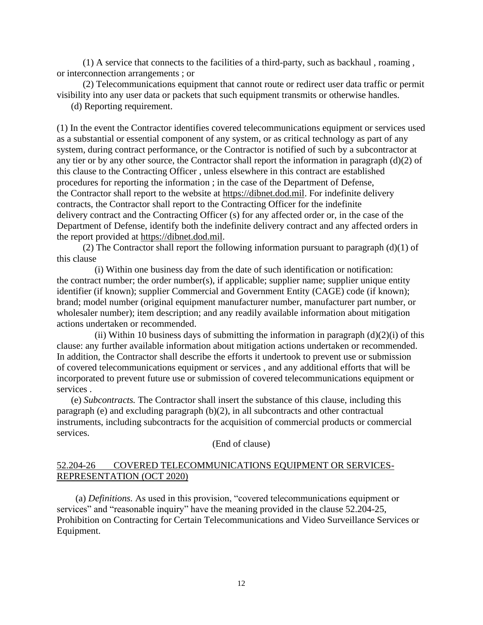(1) A service that connects to the facilities of a third-party, such as backhaul , roaming , or interconnection arrangements ; or

 (2) Telecommunications equipment that cannot route or redirect user data traffic or permit visibility into any user data or packets that such equipment transmits or otherwise handles.

(d) Reporting requirement.

(1) In the event the Contractor identifies covered telecommunications equipment or services used as a substantial or essential component of any system, or as critical technology as part of any system, during contract performance, or the Contractor is notified of such by a subcontractor at any tier or by any other source, the Contractor shall report the information in paragraph (d)(2) of this clause to the Contracting Officer , unless elsewhere in this contract are established procedures for reporting the information ; in the case of the Department of Defense, the Contractor shall report to the website at [https://dibnet.dod.mil.](https://dibnet.dod.mil/) For indefinite delivery contracts, the Contractor shall report to the Contracting Officer for the indefinite delivery contract and the Contracting Officer (s) for any affected order or, in the case of the Department of Defense, identify both the indefinite delivery contract and any affected orders in the report provided at [https://dibnet.dod.mil.](https://dibnet.dod.mil/)

 (2) The Contractor shall report the following information pursuant to paragraph (d)(1) of this clause

 (i) Within one business day from the date of such identification or notification: the contract number; the order number(s), if applicable; supplier name; supplier unique entity identifier (if known); supplier Commercial and Government Entity (CAGE) code (if known); brand; model number (original equipment manufacturer number, manufacturer part number, or wholesaler number); item description; and any readily available information about mitigation actions undertaken or recommended.

(ii) Within 10 business days of submitting the information in paragraph  $(d)(2)(i)$  of this clause: any further available information about mitigation actions undertaken or recommended. In addition, the Contractor shall describe the efforts it undertook to prevent use or submission of covered telecommunications equipment or services , and any additional efforts that will be incorporated to prevent future use or submission of covered telecommunications equipment or services .

 (e) *Subcontracts.* The Contractor shall insert the substance of this clause, including this paragraph (e) and excluding paragraph (b)(2), in all subcontracts and other contractual instruments, including subcontracts for the acquisition of commercial products or commercial services.

#### (End of clause)

#### 52.204-26 COVERED TELECOMMUNICATIONS EQUIPMENT OR SERVICES-REPRESENTATION (OCT 2020)

(a) *Definitions.* As used in this provision, "covered telecommunications equipment or services" and "reasonable inquiry" have the meaning provided in the clause 52.204-25, Prohibition on Contracting for Certain Telecommunications and Video Surveillance Services or Equipment.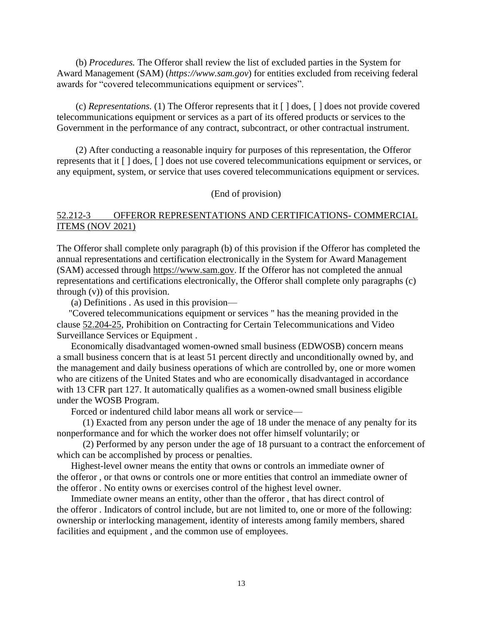(b) *Procedures.* The Offeror shall review the list of excluded parties in the System for Award Management (SAM) (*https://www.sam.gov*) for entities excluded from receiving federal awards for "covered telecommunications equipment or services".

(c) *Representations.* (1) The Offeror represents that it [ ] does, [ ] does not provide covered telecommunications equipment or services as a part of its offered products or services to the Government in the performance of any contract, subcontract, or other contractual instrument.

(2) After conducting a reasonable inquiry for purposes of this representation, the Offeror represents that it [ ] does, [ ] does not use covered telecommunications equipment or services, or any equipment, system, or service that uses covered telecommunications equipment or services.

(End of provision)

#### 52.212-3 OFFEROR REPRESENTATIONS AND CERTIFICATIONS- COMMERCIAL ITEMS (NOV 2021)

The Offeror shall complete only paragraph (b) of this provision if the Offeror has completed the annual representations and certification electronically in the System for Award Management (SAM) accessed through [https://www.sam.gov.](https://www.sam.gov/) If the Offeror has not completed the annual representations and certifications electronically, the Offeror shall complete only paragraphs (c) through (v)) of this provision.

(a) Definitions . As used in this provision—

 "Covered telecommunications equipment or services " has the meaning provided in the clause [52.204-25,](https://www.acquisition.gov/far/part-52#FAR_52_204_25) Prohibition on Contracting for Certain Telecommunications and Video Surveillance Services or Equipment .

 Economically disadvantaged women-owned small business (EDWOSB) concern means a small business concern that is at least 51 percent directly and unconditionally owned by, and the management and daily business operations of which are controlled by, one or more women who are citizens of the United States and who are economically disadvantaged in accordance with 13 CFR part 127. It automatically qualifies as a women-owned small business eligible under the WOSB Program.

Forced or indentured child labor means all work or service—

 (1) Exacted from any person under the age of 18 under the menace of any penalty for its nonperformance and for which the worker does not offer himself voluntarily; or

 (2) Performed by any person under the age of 18 pursuant to a contract the enforcement of which can be accomplished by process or penalties.

 Highest-level owner means the entity that owns or controls an immediate owner of the offeror , or that owns or controls one or more entities that control an immediate owner of the offeror . No entity owns or exercises control of the highest level owner.

 Immediate owner means an entity, other than the offeror , that has direct control of the offeror . Indicators of control include, but are not limited to, one or more of the following: ownership or interlocking management, identity of interests among family members, shared facilities and equipment , and the common use of employees.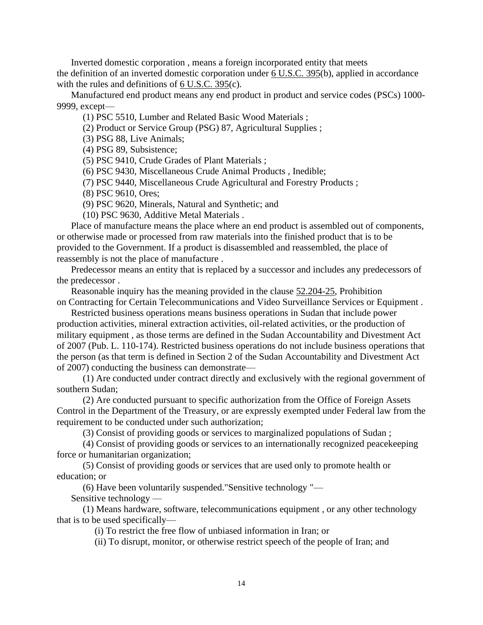Inverted domestic corporation , means a foreign incorporated entity that meets the definition of an inverted domestic corporation under [6 U.S.C. 395\(](http://uscode.house.gov/view.xhtml?req=granuleid:USC-prelim-title6-section395&num=0&edition=prelim)b), applied in accordance with the rules and definitions of [6 U.S.C. 395\(](http://uscode.house.gov/view.xhtml?req=granuleid:USC-prelim-title6-section395&num=0&edition=prelim)c).

 Manufactured end product means any end product in product and service codes (PSCs) 1000- 9999, except—

(1) PSC 5510, Lumber and Related Basic Wood Materials ;

(2) Product or Service Group (PSG) 87, Agricultural Supplies ;

(3) PSG 88, Live Animals;

(4) PSG 89, Subsistence;

(5) PSC 9410, Crude Grades of Plant Materials ;

(6) PSC 9430, Miscellaneous Crude Animal Products , Inedible;

(7) PSC 9440, Miscellaneous Crude Agricultural and Forestry Products ;

(8) PSC 9610, Ores;

(9) PSC 9620, Minerals, Natural and Synthetic; and

(10) PSC 9630, Additive Metal Materials .

 Place of manufacture means the place where an end product is assembled out of components, or otherwise made or processed from raw materials into the finished product that is to be provided to the Government. If a product is disassembled and reassembled, the place of reassembly is not the place of manufacture .

 Predecessor means an entity that is replaced by a successor and includes any predecessors of the predecessor .

 Reasonable inquiry has the meaning provided in the clause [52.204-25,](https://www.acquisition.gov/far/part-52#FAR_52_204_25) Prohibition on Contracting for Certain Telecommunications and Video Surveillance Services or Equipment .

 Restricted business operations means business operations in Sudan that include power production activities, mineral extraction activities, oil-related activities, or the production of military equipment , as those terms are defined in the Sudan Accountability and Divestment Act of 2007 (Pub. L. 110-174). Restricted business operations do not include business operations that the person (as that term is defined in Section 2 of the Sudan Accountability and Divestment Act of 2007) conducting the business can demonstrate—

 (1) Are conducted under contract directly and exclusively with the regional government of southern Sudan;

 (2) Are conducted pursuant to specific authorization from the Office of Foreign Assets Control in the Department of the Treasury, or are expressly exempted under Federal law from the requirement to be conducted under such authorization;

(3) Consist of providing goods or services to marginalized populations of Sudan ;

 (4) Consist of providing goods or services to an internationally recognized peacekeeping force or humanitarian organization;

 (5) Consist of providing goods or services that are used only to promote health or education; or

(6) Have been voluntarily suspended."Sensitive technology "—

Sensitive technology —

 (1) Means hardware, software, telecommunications equipment , or any other technology that is to be used specifically—

(i) To restrict the free flow of unbiased information in Iran; or

(ii) To disrupt, monitor, or otherwise restrict speech of the people of Iran; and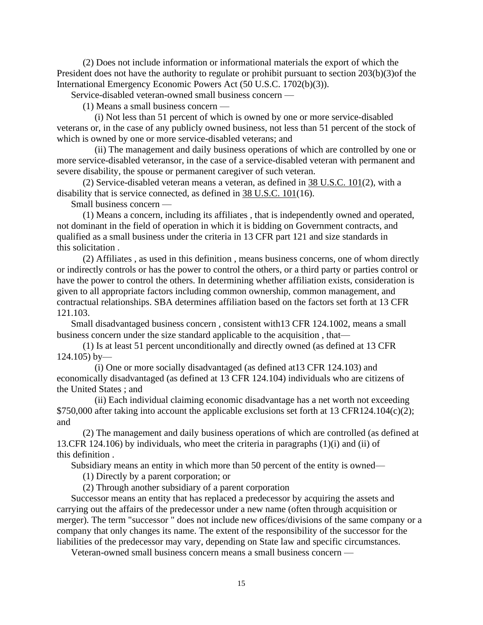(2) Does not include information or informational materials the export of which the President does not have the authority to regulate or prohibit pursuant to section 203(b)(3)of the International Emergency Economic Powers Act (50 U.S.C. 1702(b)(3)).

Service-disabled veteran-owned small business concern —

(1) Means a small business concern —

 (i) Not less than 51 percent of which is owned by one or more service-disabled veterans or, in the case of any publicly owned business, not less than 51 percent of the stock of which is owned by one or more service-disabled veterans; and

 (ii) The management and daily business operations of which are controlled by one or more service-disabled veteransor, in the case of a service-disabled veteran with permanent and severe disability, the spouse or permanent caregiver of such veteran.

 (2) Service-disabled veteran means a veteran, as defined in [38 U.S.C. 101\(](http://uscode.house.gov/view.xhtml?req=granuleid:USC-prelim-title38-section101&num=0&edition=prelim)2), with a disability that is service connected, as defined in [38 U.S.C. 101\(](http://uscode.house.gov/view.xhtml?req=granuleid:USC-prelim-title38-section101&num=0&edition=prelim)16).

Small business concern —

 (1) Means a concern, including its affiliates , that is independently owned and operated, not dominant in the field of operation in which it is bidding on Government contracts, and qualified as a small business under the criteria in 13 CFR part 121 and size standards in this solicitation .

 (2) Affiliates , as used in this definition , means business concerns, one of whom directly or indirectly controls or has the power to control the others, or a third party or parties control or have the power to control the others. In determining whether affiliation exists, consideration is given to all appropriate factors including common ownership, common management, and contractual relationships. SBA determines affiliation based on the factors set forth at 13 CFR 121.103.

 Small disadvantaged business concern , consistent with13 CFR 124.1002, means a small business concern under the size standard applicable to the acquisition , that—

 (1) Is at least 51 percent unconditionally and directly owned (as defined at 13 CFR 124.105) by—

 (i) One or more socially disadvantaged (as defined at13 CFR 124.103) and economically disadvantaged (as defined at 13 CFR 124.104) individuals who are citizens of the United States ; and

 (ii) Each individual claiming economic disadvantage has a net worth not exceeding \$750,000 after taking into account the applicable exclusions set forth at 13 CFR124.104(c)(2); and

 (2) The management and daily business operations of which are controlled (as defined at 13.CFR 124.106) by individuals, who meet the criteria in paragraphs (1)(i) and (ii) of this definition .

Subsidiary means an entity in which more than 50 percent of the entity is owned—

(1) Directly by a parent corporation; or

(2) Through another subsidiary of a parent corporation

 Successor means an entity that has replaced a predecessor by acquiring the assets and carrying out the affairs of the predecessor under a new name (often through acquisition or merger). The term "successor " does not include new offices/divisions of the same company or a company that only changes its name. The extent of the responsibility of the successor for the liabilities of the predecessor may vary, depending on State law and specific circumstances.

Veteran-owned small business concern means a small business concern —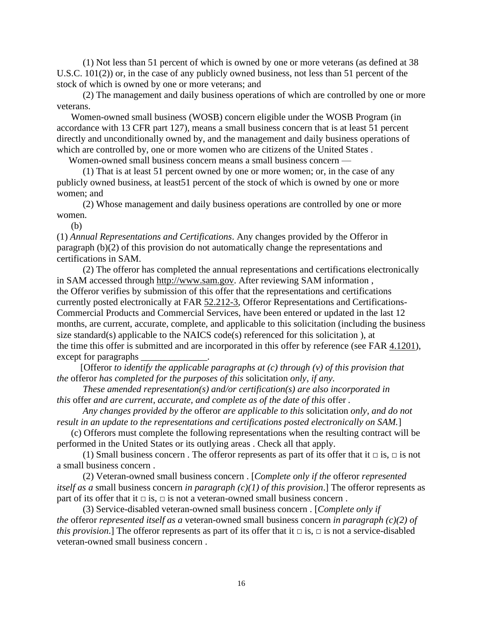(1) Not less than 51 percent of which is owned by one or more veterans (as defined at 38 U.S.C. 101(2)) or, in the case of any publicly owned business, not less than 51 percent of the stock of which is owned by one or more veterans; and

 (2) The management and daily business operations of which are controlled by one or more veterans.

 Women-owned small business (WOSB) concern eligible under the WOSB Program (in accordance with 13 CFR part 127), means a small business concern that is at least 51 percent directly and unconditionally owned by, and the management and daily business operations of which are controlled by, one or more women who are citizens of the United States .

Women-owned small business concern means a small business concern —

 (1) That is at least 51 percent owned by one or more women; or, in the case of any publicly owned business, at least51 percent of the stock of which is owned by one or more women; and

 (2) Whose management and daily business operations are controlled by one or more women.

(b)

(1) *Annual Representations and Certifications*. Any changes provided by the Offeror in paragraph (b)(2) of this provision do not automatically change the representations and certifications in SAM.

 (2) The offeror has completed the annual representations and certifications electronically in SAM accessed through [http://www.sam.gov.](http://www.sam.gov/) After reviewing SAM information , the Offeror verifies by submission of this offer that the representations and certifications currently posted electronically at FAR [52.212-3,](https://www.acquisition.gov/far/part-52#FAR_52_212_3) Offeror Representations and Certifications-Commercial Products and Commercial Services, have been entered or updated in the last 12 months, are current, accurate, complete, and applicable to this solicitation (including the business size standard(s) applicable to the NAICS code(s) referenced for this solicitation ), at the time this offer is submitted and are incorporated in this offer by reference (see FAR [4.1201\)](https://www.acquisition.gov/far/part-4#FAR_4_1201), except for paragraphs

 [Offeror *to identify the applicable paragraphs at (c) through (v) of this provision that the* offeror *has completed for the purposes of this* solicitation *only, if any.*

 *These amended representation(s) and/or certification(s) are also incorporated in this* offer *and are current, accurate, and complete as of the date of this* offer *.*

 *Any changes provided by the* offeror *are applicable to this* solicitation *only, and do not result in an update to the representations and certifications posted electronically on SAM.*]

 (c) Offerors must complete the following representations when the resulting contract will be performed in the United States or its outlying areas . Check all that apply.

 (1) Small business concern . The offeror represents as part of its offer that it *□* is, *□* is not a small business concern .

 (2) Veteran-owned small business concern . [*Complete only if the* offeror *represented itself as a* small business concern *in paragraph (c)(1) of this provision*.] The offeror represents as part of its offer that it *□* is, *□* is not a veteran-owned small business concern.

 (3) Service-disabled veteran-owned small business concern . [*Complete only if the* offeror *represented itself as a* veteran-owned small business concern *in paragraph (c)(2) of this provision*.] The offeror represents as part of its offer that it *□* is, *□* is not a service-disabled veteran-owned small business concern .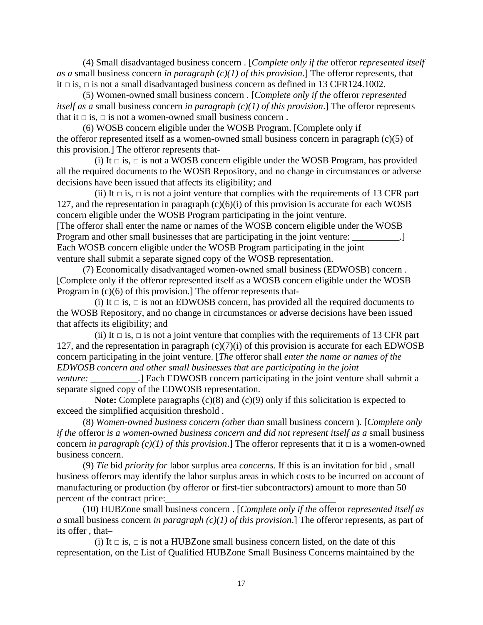(4) Small disadvantaged business concern . [*Complete only if the* offeror *represented itself as a* small business concern *in paragraph (c)(1) of this provision*.] The offeror represents, that it *□* is, *□* is not a small disadvantaged business concern as defined in 13 CFR124.1002.

 (5) Women-owned small business concern . [*Complete only if the* offeror *represented itself as a* small business concern *in paragraph (c)(1) of this provision*.] The offeror represents that it  $\Box$  is,  $\Box$  is not a women-owned small business concern.

 (6) WOSB concern eligible under the WOSB Program. [Complete only if the offeror represented itself as a women-owned small business concern in paragraph (c)(5) of this provision.] The offeror represents that-

 (i) It *□* is, *□* is not a WOSB concern eligible under the WOSB Program, has provided all the required documents to the WOSB Repository, and no change in circumstances or adverse decisions have been issued that affects its eligibility; and

(ii) It  $\Box$  is,  $\Box$  is not a joint venture that complies with the requirements of 13 CFR part 127, and the representation in paragraph  $(c)(6)(i)$  of this provision is accurate for each WOSB concern eligible under the WOSB Program participating in the joint venture.

[The offeror shall enter the name or names of the WOSB concern eligible under the WOSB Program and other small businesses that are participating in the joint venture: Each WOSB concern eligible under the WOSB Program participating in the joint venture shall submit a separate signed copy of the WOSB representation.

 (7) Economically disadvantaged women-owned small business (EDWOSB) concern . [Complete only if the offeror represented itself as a WOSB concern eligible under the WOSB Program in (c)(6) of this provision.] The offeror represents that-

 (i) It *□* is, *□* is not an EDWOSB concern, has provided all the required documents to the WOSB Repository, and no change in circumstances or adverse decisions have been issued that affects its eligibility; and

(ii) It  $\Box$  is,  $\Box$  is not a joint venture that complies with the requirements of 13 CFR part 127, and the representation in paragraph (c)(7)(i) of this provision is accurate for each EDWOSB concern participating in the joint venture. [*The* offeror shall *enter the name or names of the EDWOSB concern and other small businesses that are participating in the joint* 

*venture:* \_\_\_\_\_\_\_\_\_\_.] Each EDWOSB concern participating in the joint venture shall submit a separate signed copy of the EDWOSB representation.

 **Note:** Complete paragraphs (c)(8) and (c)(9) only if this solicitation is expected to exceed the simplified acquisition threshold .

 (8) *Women-owned business concern (other than* small business concern ). [*Complete only if the* offeror *is a women-owned business concern and did not represent itself as a* small business concern *in paragraph (c)(1) of this provision*.] The offeror represents that it *□* is a women-owned business concern.

 (9) *Tie* bid *priority for* labor surplus area *concerns*. If this is an invitation for bid , small business offerors may identify the labor surplus areas in which costs to be incurred on account of manufacturing or production (by offeror or first-tier subcontractors) amount to more than 50 percent of the contract price:

 (10) HUBZone small business concern . [*Complete only if the* offeror *represented itself as a* small business concern *in paragraph (c)(1) of this provision*.] The offeror represents, as part of its offer , that–

 (i) It *□* is, *□* is not a HUBZone small business concern listed, on the date of this representation, on the List of Qualified HUBZone Small Business Concerns maintained by the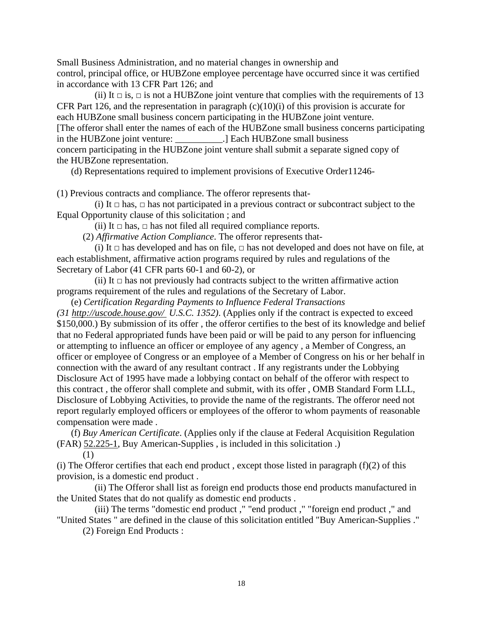Small Business Administration, and no material changes in ownership and control, principal office, or HUBZone employee percentage have occurred since it was certified in accordance with 13 CFR Part 126; and

(ii) It  $\Box$  is,  $\Box$  is not a HUBZone joint venture that complies with the requirements of 13 CFR Part 126, and the representation in paragraph  $(c)(10)(i)$  of this provision is accurate for each HUBZone small business concern participating in the HUBZone joint venture. [The offeror shall enter the names of each of the HUBZone small business concerns participating in the HUBZone joint venture: \_\_\_\_\_\_\_\_\_\_.] Each HUBZone small business concern participating in the HUBZone joint venture shall submit a separate signed copy of the HUBZone representation.

(d) Representations required to implement provisions of Executive Order11246-

(1) Previous contracts and compliance. The offeror represents that-

 (i) It *□* has, *□* has not participated in a previous contract or subcontract subject to the Equal Opportunity clause of this solicitation ; and

(ii) It *□* has, *□* has not filed all required compliance reports.

(2) *Affirmative Action Compliance*. The offeror represents that-

 (i) It *□* has developed and has on file, *□* has not developed and does not have on file, at each establishment, affirmative action programs required by rules and regulations of the Secretary of Labor (41 CFR parts 60-1 and 60-2), or

(ii) It  $\Box$  has not previously had contracts subject to the written affirmative action programs requirement of the rules and regulations of the Secretary of Labor.

(e) *Certification Regarding Payments to Influence Federal Transactions* 

*(31 [http://uscode.house.gov/](http://uscode.house.gov/browse.xhtml;jsessionid=114A3287C7B3359E597506A31FC855B3) U.S.C. 1352)*. (Applies only if the contract is expected to exceed \$150,000.) By submission of its offer , the offeror certifies to the best of its knowledge and belief that no Federal appropriated funds have been paid or will be paid to any person for influencing or attempting to influence an officer or employee of any agency , a Member of Congress, an officer or employee of Congress or an employee of a Member of Congress on his or her behalf in connection with the award of any resultant contract . If any registrants under the Lobbying Disclosure Act of 1995 have made a lobbying contact on behalf of the offeror with respect to this contract , the offeror shall complete and submit, with its offer , OMB Standard Form LLL, Disclosure of Lobbying Activities, to provide the name of the registrants. The offeror need not report regularly employed officers or employees of the offeror to whom payments of reasonable compensation were made .

 (f) *Buy American Certificate*. (Applies only if the clause at Federal Acquisition Regulation (FAR) [52.225-1,](https://www.acquisition.gov/far/part-52#FAR_52_225_1) Buy American-Supplies , is included in this solicitation .) (1)

(i) The Offeror certifies that each end product, except those listed in paragraph  $(f)(2)$  of this provision, is a domestic end product .

 (ii) The Offeror shall list as foreign end products those end products manufactured in the United States that do not qualify as domestic end products .

 (iii) The terms "domestic end product ," "end product ," "foreign end product ," and "United States " are defined in the clause of this solicitation entitled "Buy American-Supplies ."

(2) Foreign End Products :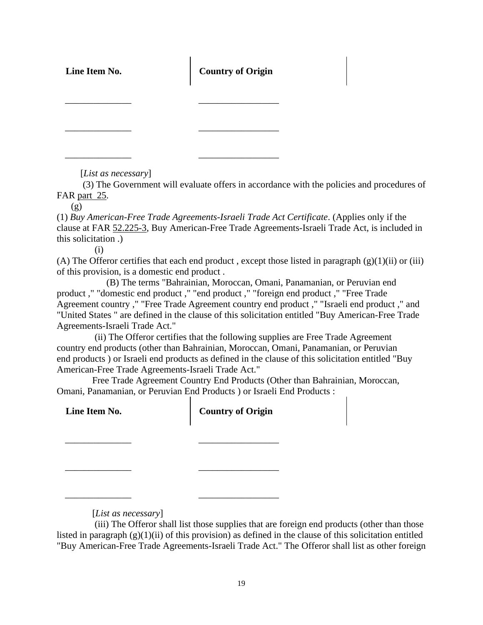\_\_\_\_\_\_\_\_\_\_\_\_\_\_ \_\_\_\_\_\_\_\_\_\_\_\_\_\_\_\_\_

\_\_\_\_\_\_\_\_\_\_\_\_\_\_ \_\_\_\_\_\_\_\_\_\_\_\_\_\_\_\_\_

\_\_\_\_\_\_\_\_\_\_\_\_\_\_ \_\_\_\_\_\_\_\_\_\_\_\_\_\_\_\_\_

\_\_\_\_\_\_\_\_\_\_\_\_\_\_ \_\_\_\_\_\_\_\_\_\_\_\_\_\_\_\_\_

\_\_\_\_\_\_\_\_\_\_\_\_\_\_ \_\_\_\_\_\_\_\_\_\_\_\_\_\_\_\_\_

\_\_\_\_\_\_\_\_\_\_\_\_\_\_ \_\_\_\_\_\_\_\_\_\_\_\_\_\_\_\_\_

[*List as necessary*]

 (3) The Government will evaluate offers in accordance with the policies and procedures of FAR [part](https://www.acquisition.gov/far/part-25#FAR_Part_25) 25.

(g)

(1) *Buy American-Free Trade Agreements-Israeli Trade Act Certificate*. (Applies only if the clause at FAR [52.225-3,](https://www.acquisition.gov/far/part-52#FAR_52_225_3) Buy American-Free Trade Agreements-Israeli Trade Act, is included in this solicitation .)

(i)

(A) The Offeror certifies that each end product, except those listed in paragraph  $(g)(1)(ii)$  or (iii) of this provision, is a domestic end product .

 (B) The terms "Bahrainian, Moroccan, Omani, Panamanian, or Peruvian end product ," "domestic end product ," "end product ," "foreign end product ," "Free Trade Agreement country ," "Free Trade Agreement country end product ," "Israeli end product ," and "United States " are defined in the clause of this solicitation entitled "Buy American-Free Trade Agreements-Israeli Trade Act."

 (ii) The Offeror certifies that the following supplies are Free Trade Agreement country end products (other than Bahrainian, Moroccan, Omani, Panamanian, or Peruvian end products ) or Israeli end products as defined in the clause of this solicitation entitled "Buy American-Free Trade Agreements-Israeli Trade Act."

 Free Trade Agreement Country End Products (Other than Bahrainian, Moroccan, Omani, Panamanian, or Peruvian End Products ) or Israeli End Products :

**Line Item No. Country of Origin**

[*List as necessary*]

 (iii) The Offeror shall list those supplies that are foreign end products (other than those listed in paragraph  $(g)(1)(ii)$  of this provision) as defined in the clause of this solicitation entitled "Buy American-Free Trade Agreements-Israeli Trade Act." The Offeror shall list as other foreign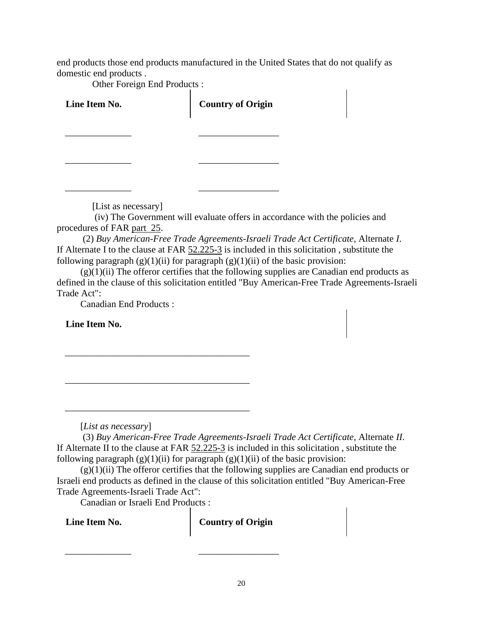end products those end products manufactured in the United States that do not qualify as domestic end products .

Other Foreign End Products :

\_\_\_\_\_\_\_\_\_\_\_\_\_\_ \_\_\_\_\_\_\_\_\_\_\_\_\_\_\_\_\_

\_\_\_\_\_\_\_\_\_\_\_\_\_\_ \_\_\_\_\_\_\_\_\_\_\_\_\_\_\_\_\_

\_\_\_\_\_\_\_\_\_\_\_\_\_\_ \_\_\_\_\_\_\_\_\_\_\_\_\_\_\_\_\_

**Line Item No. Country of Origin**

[List as necessary]

 (iv) The Government will evaluate offers in accordance with the policies and procedures of FAR [part](https://www.acquisition.gov/far/part-25#FAR_Part_25) 25.

 (2) *Buy American-Free Trade Agreements-Israeli Trade Act Certificate,* Alternate *I*. If Alternate I to the clause at FAR [52.225-3](https://www.acquisition.gov/far/part-52#FAR_52_225_3) is included in this solicitation , substitute the following paragraph  $(g)(1)(ii)$  for paragraph  $(g)(1)(ii)$  of the basic provision:

 $(g)(1)(ii)$  The offeror certifies that the following supplies are Canadian end products as defined in the clause of this solicitation entitled "Buy American-Free Trade Agreements-Israeli Trade Act":

Canadian End Products :

\_\_\_\_\_\_\_\_\_\_\_\_\_\_\_\_\_\_\_\_\_\_\_\_\_\_\_\_\_\_\_\_\_\_\_\_\_\_\_

\_\_\_\_\_\_\_\_\_\_\_\_\_\_\_\_\_\_\_\_\_\_\_\_\_\_\_\_\_\_\_\_\_\_\_\_\_\_\_

\_\_\_\_\_\_\_\_\_\_\_\_\_\_\_\_\_\_\_\_\_\_\_\_\_\_\_\_\_\_\_\_\_\_\_\_\_\_\_

**Line Item No.**

[*List as necessary*]

 (3) *Buy American-Free Trade Agreements-Israeli Trade Act Certificate,* Alternate *II*. If Alternate II to the clause at FAR [52.225-3](https://www.acquisition.gov/far/part-52#FAR_52_225_3) is included in this solicitation , substitute the following paragraph  $(g)(1)(ii)$  for paragraph  $(g)(1)(ii)$  of the basic provision:

 $(g)(1)(ii)$  The offeror certifies that the following supplies are Canadian end products or Israeli end products as defined in the clause of this solicitation entitled "Buy American-Free Trade Agreements-Israeli Trade Act":

Canadian or Israeli End Products :

\_\_\_\_\_\_\_\_\_\_\_\_\_\_ \_\_\_\_\_\_\_\_\_\_\_\_\_\_\_\_\_

**Line Item No. Country of Origin**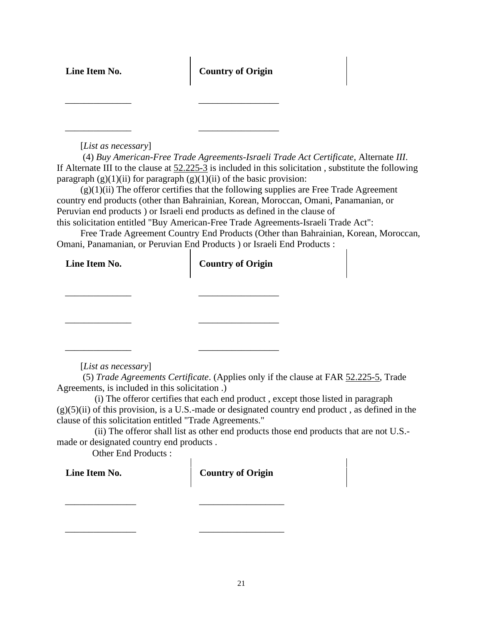| Line Item No.                                                                                                                                                     | <b>Country of Origin</b> |                                                                                                                                                                                                 |
|-------------------------------------------------------------------------------------------------------------------------------------------------------------------|--------------------------|-------------------------------------------------------------------------------------------------------------------------------------------------------------------------------------------------|
|                                                                                                                                                                   |                          |                                                                                                                                                                                                 |
|                                                                                                                                                                   |                          |                                                                                                                                                                                                 |
| [ <i>List as necessary</i> ]                                                                                                                                      |                          | (4) Buy American-Free Trade Agreements-Israeli Trade Act Certificate, Alternate III.<br>If Alternate III to the clause at $52.225-3$ is included in this solicitation, substitute the following |
| paragraph $(g)(1)(ii)$ for paragraph $(g)(1)(ii)$ of the basic provision:<br>country end products (other than Bahrainian, Korean, Moroccan, Omani, Panamanian, or |                          | $(g)(1)(ii)$ The offeror certifies that the following supplies are Free Trade Agreement                                                                                                         |
| Peruvian end products) or Israeli end products as defined in the clause of<br>this solicitation entitled "Buy American-Free Trade Agreements-Israeli Trade Act":  |                          |                                                                                                                                                                                                 |
| Omani, Panamanian, or Peruvian End Products ) or Israeli End Products :                                                                                           |                          | Free Trade Agreement Country End Products (Other than Bahrainian, Korean, Moroccan,                                                                                                             |
| Line Item No.                                                                                                                                                     | <b>Country of Origin</b> |                                                                                                                                                                                                 |

[*List as necessary*]

\_\_\_\_\_\_\_\_\_\_\_\_\_\_ \_\_\_\_\_\_\_\_\_\_\_\_\_\_\_\_\_

\_\_\_\_\_\_\_\_\_\_\_\_\_\_ \_\_\_\_\_\_\_\_\_\_\_\_\_\_\_\_\_

\_\_\_\_\_\_\_\_\_\_\_\_\_\_ \_\_\_\_\_\_\_\_\_\_\_\_\_\_\_\_\_

\_\_\_\_\_\_\_\_\_\_\_\_\_\_\_ \_\_\_\_\_\_\_\_\_\_\_\_\_\_\_\_\_\_

\_\_\_\_\_\_\_\_\_\_\_\_\_\_\_ \_\_\_\_\_\_\_\_\_\_\_\_\_\_\_\_\_\_

 (5) *Trade Agreements Certificate*. (Applies only if the clause at FAR [52.225-5,](https://www.acquisition.gov/far/part-52#FAR_52_225_5) Trade Agreements, is included in this solicitation .)

 (i) The offeror certifies that each end product , except those listed in paragraph  $(g)(5)(ii)$  of this provision, is a U.S.-made or designated country end product, as defined in the clause of this solicitation entitled "Trade Agreements."

 (ii) The offeror shall list as other end products those end products that are not U.S. made or designated country end products .

Other End Products :

**Line Item No. Country of Origin**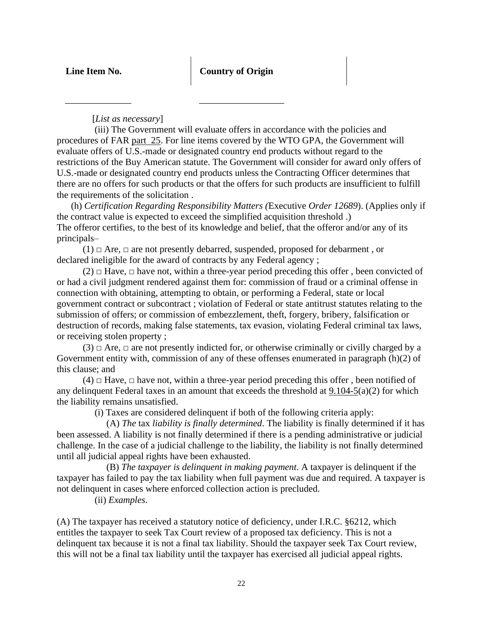# [*List as necessary*]

\_\_\_\_\_\_\_\_\_\_\_\_\_\_ \_\_\_\_\_\_\_\_\_\_\_\_\_\_\_\_\_\_

 (iii) The Government will evaluate offers in accordance with the policies and procedures of FAR [part](https://www.acquisition.gov/far/part-25#FAR_Part_25) 25. For line items covered by the WTO GPA, the Government will evaluate offers of U.S.-made or designated country end products without regard to the restrictions of the Buy American statute. The Government will consider for award only offers of U.S.-made or designated country end products unless the Contracting Officer determines that there are no offers for such products or that the offers for such products are insufficient to fulfill the requirements of the solicitation .

 (h) *Certification Regarding Responsibility Matters (*Executive *Order 12689*). (Applies only if the contract value is expected to exceed the simplified acquisition threshold .) The offeror certifies, to the best of its knowledge and belief, that the offeror and/or any of its principals–

 (1) *□* Are, *□* are not presently debarred, suspended, proposed for debarment , or declared ineligible for the award of contracts by any Federal agency ;

 (2) *□* Have, *□* have not, within a three-year period preceding this offer , been convicted of or had a civil judgment rendered against them for: commission of fraud or a criminal offense in connection with obtaining, attempting to obtain, or performing a Federal, state or local government contract or subcontract ; violation of Federal or state antitrust statutes relating to the submission of offers; or commission of embezzlement, theft, forgery, bribery, falsification or destruction of records, making false statements, tax evasion, violating Federal criminal tax laws, or receiving stolen property ;

 (3) *□* Are, *□* are not presently indicted for, or otherwise criminally or civilly charged by a Government entity with, commission of any of these offenses enumerated in paragraph (h)(2) of this clause; and

 (4) *□* Have, *□* have not, within a three-year period preceding this offer , been notified of any delinquent Federal taxes in an amount that exceeds the threshold at [9.104-5\(](https://www.acquisition.gov/far/part-9#FAR_9_104_5)a)(2) for which the liability remains unsatisfied.

(i) Taxes are considered delinquent if both of the following criteria apply:

 (A) *The* tax *liability is finally determined*. The liability is finally determined if it has been assessed. A liability is not finally determined if there is a pending administrative or judicial challenge. In the case of a judicial challenge to the liability, the liability is not finally determined until all judicial appeal rights have been exhausted.

 (B) *The taxpayer is delinquent in making payment*. A taxpayer is delinquent if the taxpayer has failed to pay the tax liability when full payment was due and required. A taxpayer is not delinquent in cases where enforced collection action is precluded.

(ii) *Examples*.

(A) The taxpayer has received a statutory notice of deficiency, under I.R.C. §6212, which entitles the taxpayer to seek Tax Court review of a proposed tax deficiency. This is not a delinquent tax because it is not a final tax liability. Should the taxpayer seek Tax Court review, this will not be a final tax liability until the taxpayer has exercised all judicial appeal rights.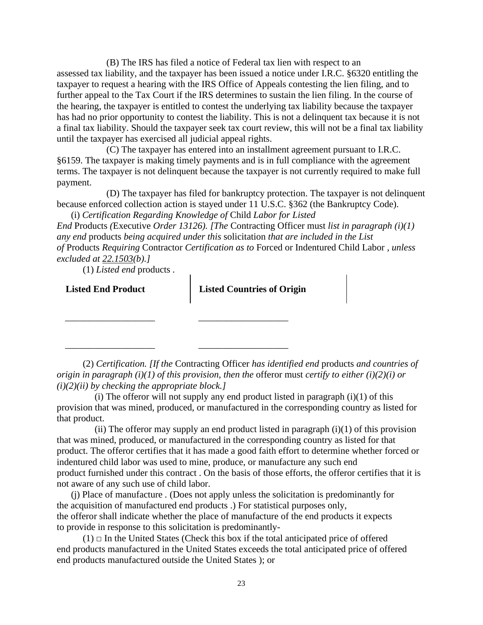(B) The IRS has filed a notice of Federal tax lien with respect to an assessed tax liability, and the taxpayer has been issued a notice under I.R.C. §6320 entitling the taxpayer to request a hearing with the IRS Office of Appeals contesting the lien filing, and to further appeal to the Tax Court if the IRS determines to sustain the lien filing. In the course of the hearing, the taxpayer is entitled to contest the underlying tax liability because the taxpayer has had no prior opportunity to contest the liability. This is not a delinquent tax because it is not a final tax liability. Should the taxpayer seek tax court review, this will not be a final tax liability until the taxpayer has exercised all judicial appeal rights.

 (C) The taxpayer has entered into an installment agreement pursuant to I.R.C. §6159. The taxpayer is making timely payments and is in full compliance with the agreement terms. The taxpayer is not delinquent because the taxpayer is not currently required to make full payment.

 (D) The taxpayer has filed for bankruptcy protection. The taxpayer is not delinquent because enforced collection action is stayed under 11 U.S.C. §362 (the Bankruptcy Code).

(i) *Certification Regarding Knowledge of* Child *Labor for Listed* 

\_\_\_\_\_\_\_\_\_\_\_\_\_\_\_\_\_\_\_ \_\_\_\_\_\_\_\_\_\_\_\_\_\_\_\_\_\_\_

\_\_\_\_\_\_\_\_\_\_\_\_\_\_\_\_\_\_\_ \_\_\_\_\_\_\_\_\_\_\_\_\_\_\_\_\_\_\_

*End* Products *(*Executive *Order 13126). [The* Contracting Officer must *list in paragraph (i)(1) any end* products *being acquired under this* solicitation *that are included in the List of* Products *Requiring* Contractor *Certification as to* Forced or Indentured Child Labor *, unless excluded at [22.1503\(](https://www.acquisition.gov/far/part-22#FAR_22_1503)b).]*

(1) *Listed end* products *.*

**Listed End Product Listed Countries of Origin**

 (2) *Certification. [If the* Contracting Officer *has identified end* products *and countries of origin in paragraph (i)(1) of this provision, then the* offeror must *certify to either (i)(2)(i) or (i)(2)(ii) by checking the appropriate block.]*

(i) The offeror will not supply any end product listed in paragraph  $(i)(1)$  of this provision that was mined, produced, or manufactured in the corresponding country as listed for that product.

(ii) The offeror may supply an end product listed in paragraph  $(i)(1)$  of this provision that was mined, produced, or manufactured in the corresponding country as listed for that product. The offeror certifies that it has made a good faith effort to determine whether forced or indentured child labor was used to mine, produce, or manufacture any such end product furnished under this contract . On the basis of those efforts, the offeror certifies that it is not aware of any such use of child labor.

 (j) Place of manufacture *.* (Does not apply unless the solicitation is predominantly for the acquisition of manufactured end products .) For statistical purposes only, the offeror shall indicate whether the place of manufacture of the end products it expects to provide in response to this solicitation is predominantly-

 $(1)$   $\Box$  In the United States (Check this box if the total anticipated price of offered end products manufactured in the United States exceeds the total anticipated price of offered end products manufactured outside the United States ); or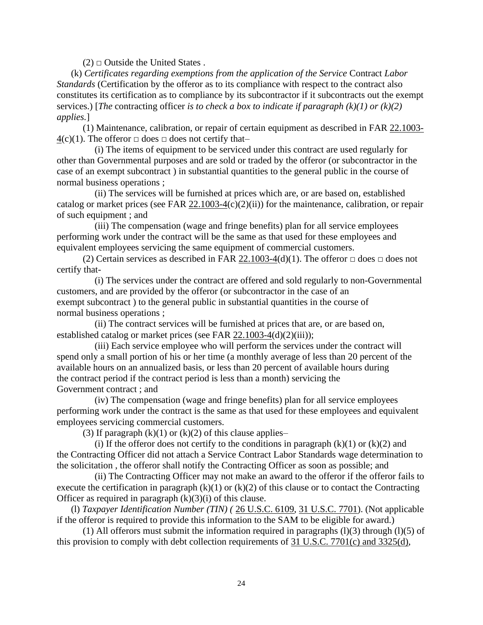$(2)$   $\Box$  Outside the United States .

 (k) *Certificates regarding exemptions from the application of the Service* Contract *Labor Standards* (Certification by the offeror as to its compliance with respect to the contract also constitutes its certification as to compliance by its subcontractor if it subcontracts out the exempt services.) [*The* contracting officer *is to check a box to indicate if paragraph (k)(1) or (k)(2) applies.*]

 (1) Maintenance, calibration, or repair of certain equipment as described in FAR [22.1003-](https://www.acquisition.gov/far/part-22#FAR_22_1003_4) [4\(](https://www.acquisition.gov/far/part-22#FAR_22_1003_4)c)(1). The offeror *□* does *□* does not certify that–

 (i) The items of equipment to be serviced under this contract are used regularly for other than Governmental purposes and are sold or traded by the offeror (or subcontractor in the case of an exempt subcontract ) in substantial quantities to the general public in the course of normal business operations ;

 (ii) The services will be furnished at prices which are, or are based on, established catalog or market prices (see FAR  $22.1003-4(c)(2)(ii)$  $22.1003-4(c)(2)(ii)$ ) for the maintenance, calibration, or repair of such equipment ; and

 (iii) The compensation (wage and fringe benefits) plan for all service employees performing work under the contract will be the same as that used for these employees and equivalent employees servicing the same equipment of commercial customers.

(2) Certain services as described in FAR [22.1003-4\(](https://www.acquisition.gov/far/part-22#FAR_22_1003_4)d)(1). The offeror  $\Box$  does  $\Box$  does not certify that-

 (i) The services under the contract are offered and sold regularly to non-Governmental customers, and are provided by the offeror (or subcontractor in the case of an exempt subcontract ) to the general public in substantial quantities in the course of normal business operations ;

 (ii) The contract services will be furnished at prices that are, or are based on, established catalog or market prices (see FAR [22.1003-4\(](https://www.acquisition.gov/far/part-22#FAR_22_1003_4)d)(2)(iii));

 (iii) Each service employee who will perform the services under the contract will spend only a small portion of his or her time (a monthly average of less than 20 percent of the available hours on an annualized basis, or less than 20 percent of available hours during the contract period if the contract period is less than a month) servicing the Government contract ; and

 (iv) The compensation (wage and fringe benefits) plan for all service employees performing work under the contract is the same as that used for these employees and equivalent employees servicing commercial customers.

(3) If paragraph  $(k)(1)$  or  $(k)(2)$  of this clause applies–

(i) If the offeror does not certify to the conditions in paragraph  $(k)(1)$  or  $(k)(2)$  and the Contracting Officer did not attach a Service Contract Labor Standards wage determination to the solicitation , the offeror shall notify the Contracting Officer as soon as possible; and

 (ii) The Contracting Officer may not make an award to the offeror if the offeror fails to execute the certification in paragraph  $(k)(1)$  or  $(k)(2)$  of this clause or to contact the Contracting Officer as required in paragraph  $(k)(3)(i)$  of this clause.

 (l) *Taxpayer Identification Number (TIN) (* [26 U.S.C. 6109,](http://uscode.house.gov/browse.xhtml;jsessionid=114A3287C7B3359E597506A31FC855B3) [31 U.S.C. 7701\)](http://uscode.house.gov/browse.xhtml;jsessionid=114A3287C7B3359E597506A31FC855B3). (Not applicable if the offeror is required to provide this information to the SAM to be eligible for award.)

(1) All offerors must submit the information required in paragraphs  $(l)(3)$  through  $(l)(5)$  of this provision to comply with debt collection requirements of [31 U.S.C. 7701\(c\) and 3325\(d\),](http://uscode.house.gov/browse.xhtml;jsessionid=114A3287C7B3359E597506A31FC855B3)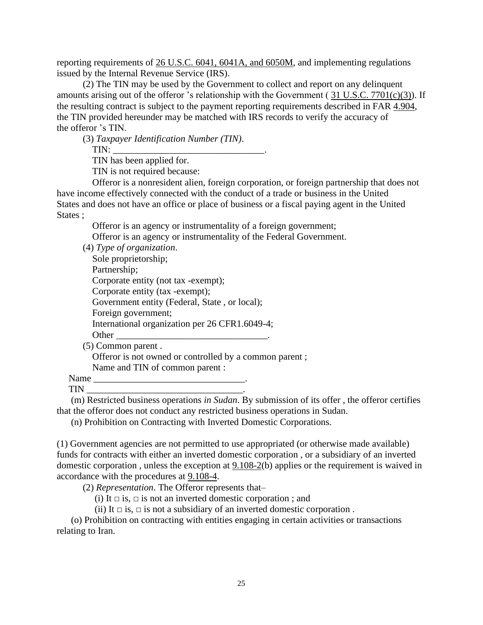reporting requirements of [26 U.S.C. 6041, 6041A, and 6050M,](http://uscode.house.gov/browse.xhtml;jsessionid=114A3287C7B3359E597506A31FC855B3) and implementing regulations issued by the Internal Revenue Service (IRS).

 (2) The TIN may be used by the Government to collect and report on any delinquent amounts arising out of the offeror 's relationship with the Government ( [31 U.S.C. 7701\(c\)\(3\)\)](http://uscode.house.gov/browse.xhtml;jsessionid=114A3287C7B3359E597506A31FC855B3). If the resulting contract is subject to the payment reporting requirements described in FAR [4.904,](https://www.acquisition.gov/far/part-4#FAR_4_904) the TIN provided hereunder may be matched with IRS records to verify the accuracy of the offeror 's TIN.

(3) *Taxpayer Identification Number (TIN)*.

TIN: \_\_\_\_\_\_\_\_\_\_\_\_\_\_\_\_\_\_\_\_\_\_\_\_\_\_\_\_\_\_\_\_.

TIN has been applied for.

TIN is not required because:

 Offeror is a nonresident alien, foreign corporation, or foreign partnership that does not have income effectively connected with the conduct of a trade or business in the United States and does not have an office or place of business or a fiscal paying agent in the United States ;

Offeror is an agency or instrumentality of a foreign government;

Offeror is an agency or instrumentality of the Federal Government.

 (4) *Type of organization*. Sole proprietorship; Partnership; Corporate entity (not tax -exempt); Corporate entity (tax -exempt); Government entity (Federal, State , or local);

Foreign government;

International organization per 26 CFR1.6049-4;

Other \_\_\_\_\_\_\_\_\_\_\_\_\_\_\_\_\_\_\_\_\_\_\_\_\_\_\_\_\_\_\_\_.

(5) Common parent .

Offeror is not owned or controlled by a common parent ;

Name and TIN of common parent :

Name \_\_\_\_\_\_\_\_\_\_\_\_\_\_\_\_\_\_\_\_\_\_\_\_\_\_\_\_\_\_\_\_.

 $\textrm{TIN}$ 

 (m) Restricted business operations *in Sudan*. By submission of its offer , the offeror certifies that the offeror does not conduct any restricted business operations in Sudan.

(n) Prohibition on Contracting with Inverted Domestic Corporations.

(1) Government agencies are not permitted to use appropriated (or otherwise made available) funds for contracts with either an inverted domestic corporation , or a subsidiary of an inverted domestic corporation , unless the exception at [9.108-2\(](https://www.acquisition.gov/far/part-9#FAR_9_108_2)b) applies or the requirement is waived in accordance with the procedures at [9.108-4.](https://www.acquisition.gov/far/part-9#FAR_9_108_4)

(2) *Representation*. The Offeror represents that–

(i) It *□* is, *□* is not an inverted domestic corporation ; and

(ii) It  $\Box$  is,  $\Box$  is not a subsidiary of an inverted domestic corporation.

 (o) Prohibition on contracting with entities engaging in certain activities or transactions relating to Iran.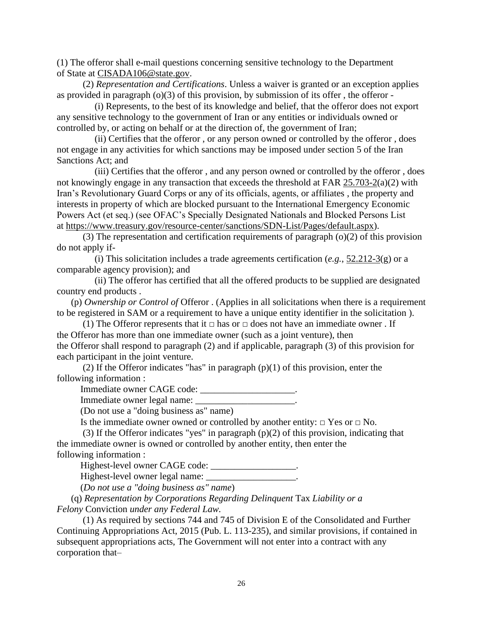(1) The offeror shall e-mail questions concerning sensitive technology to the Department of State at [CISADA106@state.gov.](mailto:CISADA106@state.gov)

 (2) *Representation and Certifications*. Unless a waiver is granted or an exception applies as provided in paragraph (o)(3) of this provision, by submission of its offer , the offeror -

 (i) Represents, to the best of its knowledge and belief, that the offeror does not export any sensitive technology to the government of Iran or any entities or individuals owned or controlled by, or acting on behalf or at the direction of, the government of Iran;

 (ii) Certifies that the offeror , or any person owned or controlled by the offeror , does not engage in any activities for which sanctions may be imposed under section 5 of the Iran Sanctions Act; and

 (iii) Certifies that the offeror , and any person owned or controlled by the offeror , does not knowingly engage in any transaction that exceeds the threshold at FAR [25.703-2\(](https://www.acquisition.gov/far/part-25#FAR_25_703_2)a)(2) with Iran's Revolutionary Guard Corps or any of its officials, agents, or affiliates , the property and interests in property of which are blocked pursuant to the International Emergency Economic Powers Act (et seq.) (see OFAC's Specially Designated Nationals and Blocked Persons List at [https://www.treasury.gov/resource-center/sanctions/SDN-List/Pages/default.aspx\)](https://www.treasury.gov/resource-center/sanctions/SDN-List/Pages/default.aspx).

 (3) The representation and certification requirements of paragraph (o)(2) of this provision do not apply if-

 (i) This solicitation includes a trade agreements certification (*e.g.*, [52.212-3\(](https://www.acquisition.gov/far/part-52#FAR_52_212_3)g) or a comparable agency provision); and

 (ii) The offeror has certified that all the offered products to be supplied are designated country end products .

 (p) *Ownership or Control of* Offeror . (Applies in all solicitations when there is a requirement to be registered in SAM or a requirement to have a unique entity identifier in the solicitation ).

 (1) The Offeror represents that it *□* has or *□* does not have an immediate owner . If the Offeror has more than one immediate owner (such as a joint venture), then the Offeror shall respond to paragraph (2) and if applicable, paragraph (3) of this provision for each participant in the joint venture.

(2) If the Offeror indicates "has" in paragraph  $(p)(1)$  of this provision, enter the following information :

Immediate owner CAGE code: \_\_\_\_\_\_\_\_\_\_\_\_\_\_\_\_\_\_\_\_\_\_.

Immediate owner legal name: \_\_\_\_\_\_\_\_\_\_\_\_\_\_\_\_\_\_\_\_\_\_\_\_\_\_.

(Do not use a "doing business as" name)

Is the immediate owner owned or controlled by another entity: *□* Yes or *□* No.

 (3) If the Offeror indicates "yes" in paragraph (p)(2) of this provision, indicating that the immediate owner is owned or controlled by another entity, then enter the following information :

Highest-level owner CAGE code: \_\_\_\_\_\_\_\_\_\_\_\_\_\_\_\_\_\_.

Highest-level owner legal name: \_\_\_\_\_\_\_\_\_\_\_\_\_\_\_\_\_\_\_\_\_.

(*Do not use a "doing business as" name*)

 (q) *Representation by Corporations Regarding Delinquent* Tax *Liability or a Felony* Conviction *under any Federal Law.*

 (1) As required by sections 744 and 745 of Division E of the Consolidated and Further Continuing Appropriations Act, 2015 (Pub. L. 113-235), and similar provisions, if contained in subsequent appropriations acts, The Government will not enter into a contract with any corporation that–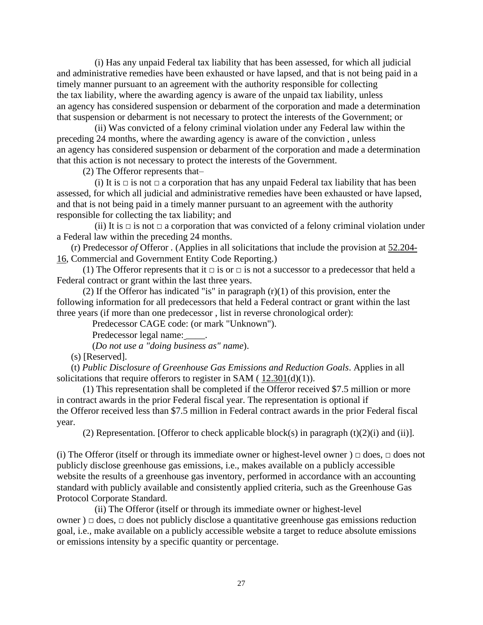(i) Has any unpaid Federal tax liability that has been assessed, for which all judicial and administrative remedies have been exhausted or have lapsed, and that is not being paid in a timely manner pursuant to an agreement with the authority responsible for collecting the tax liability, where the awarding agency is aware of the unpaid tax liability, unless an agency has considered suspension or debarment of the corporation and made a determination that suspension or debarment is not necessary to protect the interests of the Government; or

 (ii) Was convicted of a felony criminal violation under any Federal law within the preceding 24 months, where the awarding agency is aware of the conviction , unless an agency has considered suspension or debarment of the corporation and made a determination that this action is not necessary to protect the interests of the Government.

(2) The Offeror represents that–

 (i) It is *□* is not *□* a corporation that has any unpaid Federal tax liability that has been assessed, for which all judicial and administrative remedies have been exhausted or have lapsed, and that is not being paid in a timely manner pursuant to an agreement with the authority responsible for collecting the tax liability; and

 (ii) It is *□* is not *□* a corporation that was convicted of a felony criminal violation under a Federal law within the preceding 24 months.

 (r) Predecessor *of* Offeror *.* (Applies in all solicitations that include the provision at [52.204-](https://www.acquisition.gov/far/part-52#FAR_52_204_16) [16,](https://www.acquisition.gov/far/part-52#FAR_52_204_16) Commercial and Government Entity Code Reporting.)

 (1) The Offeror represents that it *□* is or *□* is not a successor to a predecessor that held a Federal contract or grant within the last three years.

(2) If the Offeror has indicated "is" in paragraph  $(r)(1)$  of this provision, enter the following information for all predecessors that held a Federal contract or grant within the last three years (if more than one predecessor , list in reverse chronological order):

Predecessor CAGE code: (or mark "Unknown").

Predecessor legal name:  $\qquad \qquad$ .

(*Do not use a "doing business as" name*).

(s) [Reserved].

 (t) *Public Disclosure of Greenhouse Gas Emissions and Reduction Goals*. Applies in all solicitations that require offerors to register in SAM ( $12.301(d)(1)$  $12.301(d)(1)$ ).

 (1) This representation shall be completed if the Offeror received \$7.5 million or more in contract awards in the prior Federal fiscal year. The representation is optional if the Offeror received less than \$7.5 million in Federal contract awards in the prior Federal fiscal year.

(2) Representation. [Offeror to check applicable block(s) in paragraph  $(t)(2)(i)$  and  $(ii)$ ].

(i) The Offeror (itself or through its immediate owner or highest-level owner ) *□* does, *□* does not publicly disclose greenhouse gas emissions, i.e., makes available on a publicly accessible website the results of a greenhouse gas inventory, performed in accordance with an accounting standard with publicly available and consistently applied criteria, such as the Greenhouse Gas Protocol Corporate Standard.

 (ii) The Offeror (itself or through its immediate owner or highest-level owner ) *□* does, *□* does not publicly disclose a quantitative greenhouse gas emissions reduction goal, i.e., make available on a publicly accessible website a target to reduce absolute emissions or emissions intensity by a specific quantity or percentage.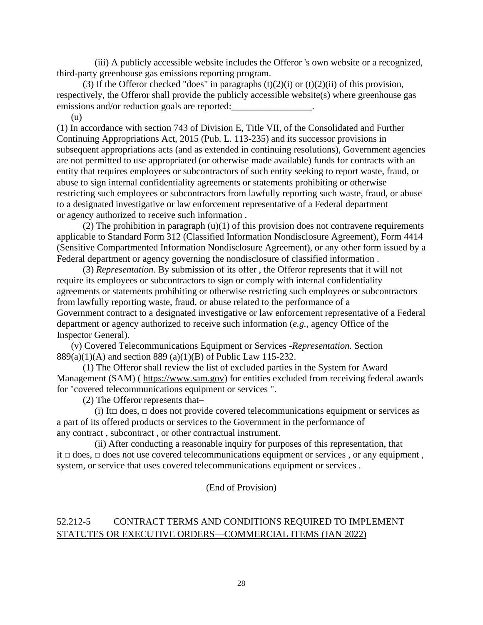(iii) A publicly accessible website includes the Offeror 's own website or a recognized, third-party greenhouse gas emissions reporting program.

(3) If the Offeror checked "does" in paragraphs  $(t)(2)(i)$  or  $(t)(2)(ii)$  of this provision, respectively, the Offeror shall provide the publicly accessible website(s) where greenhouse gas emissions and/or reduction goals are reported:

(u)

(1) In accordance with section 743 of Division E, Title VII, of the Consolidated and Further Continuing Appropriations Act, 2015 (Pub. L. 113-235) and its successor provisions in subsequent appropriations acts (and as extended in continuing resolutions), Government agencies are not permitted to use appropriated (or otherwise made available) funds for contracts with an entity that requires employees or subcontractors of such entity seeking to report waste, fraud, or abuse to sign internal confidentiality agreements or statements prohibiting or otherwise restricting such employees or subcontractors from lawfully reporting such waste, fraud, or abuse to a designated investigative or law enforcement representative of a Federal department or agency authorized to receive such information .

(2) The prohibition in paragraph  $(u)(1)$  of this provision does not contravene requirements applicable to Standard Form 312 (Classified Information Nondisclosure Agreement), Form 4414 (Sensitive Compartmented Information Nondisclosure Agreement), or any other form issued by a Federal department or agency governing the nondisclosure of classified information .

 (3) *Representation*. By submission of its offer , the Offeror represents that it will not require its employees or subcontractors to sign or comply with internal confidentiality agreements or statements prohibiting or otherwise restricting such employees or subcontractors from lawfully reporting waste, fraud, or abuse related to the performance of a Government contract to a designated investigative or law enforcement representative of a Federal department or agency authorized to receive such information (*e.g.*, agency Office of the Inspector General).

 (v) Covered Telecommunications Equipment or Services *-Representation.* Section 889(a)(1)(A) and section 889 (a)(1)(B) of Public Law 115-232.

 (1) The Offeror shall review the list of excluded parties in the System for Award Management (SAM) ( [https://www.sam.gov\)](https://www.sam.gov/) for entities excluded from receiving federal awards for "covered telecommunications equipment or services ".

(2) The Offeror represents that–

 (i) It*□* does, *□* does not provide covered telecommunications equipment or services as a part of its offered products or services to the Government in the performance of any contract , subcontract , or other contractual instrument.

 (ii) After conducting a reasonable inquiry for purposes of this representation, that it *□* does, *□* does not use covered telecommunications equipment or services , or any equipment , system, or service that uses covered telecommunications equipment or services .

(End of Provision)

# 52.212-5 CONTRACT TERMS AND CONDITIONS REQUIRED TO IMPLEMENT STATUTES OR EXECUTIVE ORDERS—COMMERCIAL ITEMS (JAN 2022)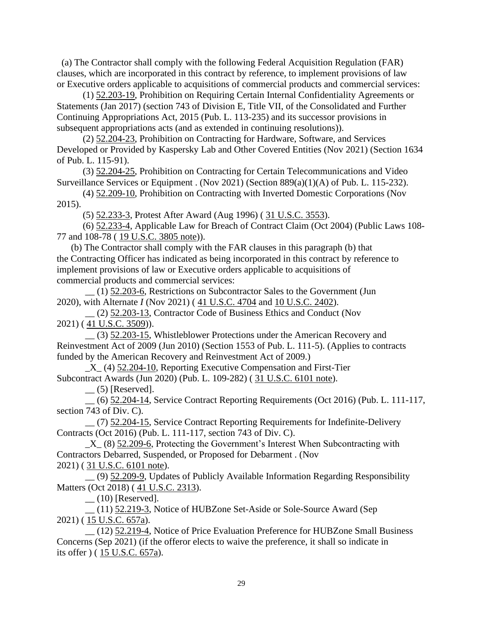(a) The Contractor shall comply with the following Federal Acquisition Regulation (FAR) clauses, which are incorporated in this contract by reference, to implement provisions of law or Executive orders applicable to acquisitions of commercial products and commercial services:

 (1) [52.203-19,](https://www.acquisition.gov/far/part-52#FAR_52_203_19) Prohibition on Requiring Certain Internal Confidentiality Agreements or Statements (Jan 2017) (section 743 of Division E, Title VII, of the Consolidated and Further Continuing Appropriations Act, 2015 (Pub. L. 113-235) and its successor provisions in subsequent appropriations acts (and as extended in continuing resolutions)).

 (2) [52.204-23,](https://www.acquisition.gov/far/part-52#FAR_52_204_23) Prohibition on Contracting for Hardware, Software, and Services Developed or Provided by Kaspersky Lab and Other Covered Entities (Nov 2021) (Section 1634 of Pub. L. 115-91).

 (3) [52.204-25,](https://www.acquisition.gov/far/part-52#FAR_52_204_25) Prohibition on Contracting for Certain Telecommunications and Video Surveillance Services or Equipment . (Nov 2021) (Section 889(a)(1)(A) of Pub. L. 115-232).

 (4) [52.209-10,](https://www.acquisition.gov/far/part-52#FAR_52_209_10) Prohibition on Contracting with Inverted Domestic Corporations (Nov 2015).

(5) [52.233-3,](https://www.acquisition.gov/far/part-52#FAR_52_233_3) Protest After Award (Aug 1996) ( 31 [U.S.C.](http://uscode.house.gov/browse.xhtml;jsessionid=114A3287C7B3359E597506A31FC855B3) 3553).

 (6) [52.233-4,](https://www.acquisition.gov/far/part-52#FAR_52_233_4) Applicable Law for Breach of Contract Claim (Oct 2004) (Public Laws 108- 77 and 108-78 ( 19 [U.S.C.](http://uscode.house.gov/browse.xhtml;jsessionid=114A3287C7B3359E597506A31FC855B3) 3805 note)).

 (b) The Contractor shall comply with the FAR clauses in this paragraph (b) that the Contracting Officer has indicated as being incorporated in this contract by reference to implement provisions of law or Executive orders applicable to acquisitions of commercial products and commercial services:

 \_\_ (1) [52.203-6,](https://www.acquisition.gov/far/part-52#FAR_52_203_6) Restrictions on Subcontractor Sales to the Government (Jun 2020), with Alternate *I* (Nov 2021) ( 41 [U.S.C.](http://uscode.house.gov/browse.xhtml;jsessionid=114A3287C7B3359E597506A31FC855B3) 4704 and 10 [U.S.C.](http://uscode.house.gov/browse.xhtml;jsessionid=114A3287C7B3359E597506A31FC855B3) 2402).

 \_\_ (2) [52.203-13,](https://www.acquisition.gov/far/part-52#FAR_52_203_13) Contractor Code of Business Ethics and Conduct (Nov 2021) ( 41 [U.S.C.](http://uscode.house.gov/browse.xhtml;jsessionid=114A3287C7B3359E597506A31FC855B3) 3509)).

 \_\_ (3) [52.203-15,](https://www.acquisition.gov/far/part-52#FAR_52_203_15) Whistleblower Protections under the American Recovery and Reinvestment Act of 2009 (Jun 2010) (Section 1553 of Pub. L. 111-5). (Applies to contracts funded by the American Recovery and Reinvestment Act of 2009.)

 \_X\_ (4) [52.204-10,](https://www.acquisition.gov/far/part-52#FAR_52_204_10) Reporting Executive Compensation and First-Tier Subcontract Awards (Jun 2020) (Pub. L. 109-282) ( 31 [U.S.C.](http://uscode.house.gov/view.xhtml?req=granuleid:USC-prelim-title31-section6101&num=0&edition=prelim) 6101 note).

 $(5)$  [Reserved].

 \_\_ (6) [52.204-14,](https://www.acquisition.gov/far/part-52#FAR_52_204_14) Service Contract Reporting Requirements (Oct 2016) (Pub. L. 111-117, section 743 of Div. C).

 \_\_ (7) [52.204-15,](https://www.acquisition.gov/far/part-52#FAR_52_204_15) Service Contract Reporting Requirements for Indefinite-Delivery Contracts (Oct 2016) (Pub. L. 111-117, section 743 of Div. C).

 \_X\_ (8) [52.209-6,](https://www.acquisition.gov/far/part-52#FAR_52_209_6) Protecting the Government's Interest When Subcontracting with Contractors Debarred, Suspended, or Proposed for Debarment . (Nov 2021) ( 31 [U.S.C.](http://uscode.house.gov/view.xhtml?req=granuleid:USC-prelim-title31-section6101&num=0&edition=prelim) 6101 note).

 \_\_ (9) [52.209-9,](https://www.acquisition.gov/far/part-52#FAR_52_209_9) Updates of Publicly Available Information Regarding Responsibility Matters (Oct 2018) ( 41 [U.S.C.](http://uscode.house.gov/view.xhtml?req=granuleid:USC-prelim-title41-section2313&num=0&edition=prelim) 2313).

 $(10)$  [Reserved].

 \_\_ (11) [52.219-3,](https://www.acquisition.gov/far/part-52#FAR_52_219_3) Notice of HUBZone Set-Aside or Sole-Source Award (Sep 2021) ( 15 [U.S.C.](http://uscode.house.gov/view.xhtml?req=granuleid:USC-prelim-title15-section637a&num=0&edition=prelim) 657a).

 \_\_ (12) [52.219-4,](https://www.acquisition.gov/far/part-52#FAR_52_219_4) Notice of Price Evaluation Preference for HUBZone Small Business Concerns (Sep 2021) (if the offeror elects to waive the preference, it shall so indicate in its offer ) ( 15 [U.S.C.](http://uscode.house.gov/browse.xhtml;jsessionid=114A3287C7B3359E597506A31FC855B3) 657a).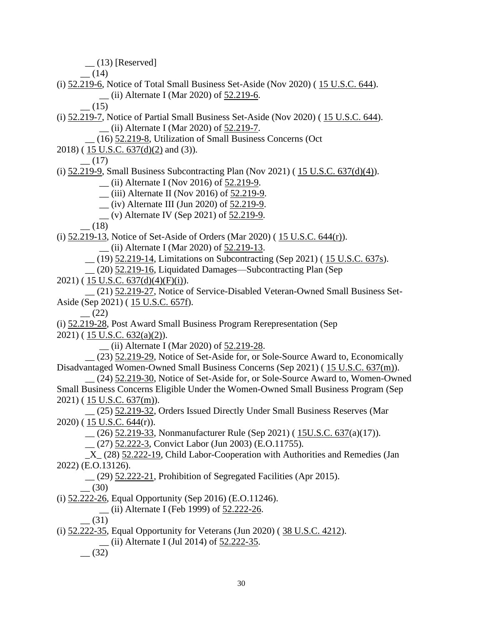$(13)$  [Reserved]

 $(14)$ 

(i) [52.219-6,](https://www.acquisition.gov/far/part-52#FAR_52_219_6) Notice of Total Small Business Set-Aside (Nov 2020) ( 15 [U.S.C.](http://uscode.house.gov/browse.xhtml;jsessionid=114A3287C7B3359E597506A31FC855B3) 644). \_\_ (ii) Alternate I (Mar 2020) of [52.219-6.](https://www.acquisition.gov/far/part-52#FAR_52_219_6)

 $(15)$ 

(i) [52.219-7,](https://www.acquisition.gov/far/part-52#FAR_52_219_7) Notice of Partial Small Business Set-Aside (Nov 2020) ( 15 [U.S.C.](http://uscode.house.gov/browse.xhtml;jsessionid=114A3287C7B3359E597506A31FC855B3) 644). \_\_ (ii) Alternate I (Mar 2020) of [52.219-7.](https://www.acquisition.gov/far/part-52#FAR_52_219_7)

\_\_ (16) [52.219-8,](https://www.acquisition.gov/far/part-52#FAR_52_219_8) Utilization of Small Business Concerns (Oct

2018) ( 15 U.S.C. [637\(d\)\(2\)](http://uscode.house.gov/browse.xhtml;jsessionid=114A3287C7B3359E597506A31FC855B3) and (3)).

 $(17)$ 

(i)  $52.219-9$ , Small Business Subcontracting Plan (Nov 2021) ( $15$  U.S.C.  $637(d)(4)$ ).

\_\_ (ii) Alternate I (Nov 2016) of [52.219-9.](https://www.acquisition.gov/far/part-52#FAR_52_219_9)

 $\frac{1}{\text{(iii)}}$  Alternate II (Nov 2016) of [52.219-9.](https://www.acquisition.gov/far/part-52#FAR_52_219_9)

\_\_ (iv) Alternate III (Jun 2020) of [52.219-9.](https://www.acquisition.gov/far/part-52#FAR_52_219_9)

\_\_ (v) Alternate IV (Sep 2021) of [52.219-9.](https://www.acquisition.gov/far/part-52#FAR_52_219_9)

\_\_ (18)

(i) [52.219-13,](https://www.acquisition.gov/far/part-52#FAR_52_219_13) Notice of Set-Aside of Orders (Mar 2020) ( 15 [U.S.C.](http://uscode.house.gov/browse.xhtml;jsessionid=114A3287C7B3359E597506A31FC855B3) 644(r)).

\_\_ (ii) Alternate I (Mar 2020) of [52.219-13.](https://www.acquisition.gov/far/part-52#FAR_52_219_13)

\_\_ (19) [52.219-14,](https://www.acquisition.gov/far/part-52#FAR_52_219_14) Limitations on Subcontracting (Sep 2021) ( 15 [U.S.C.](http://uscode.house.gov/browse.xhtml;jsessionid=114A3287C7B3359E597506A31FC855B3) 637s).

\_\_ (20) [52.219-16,](https://www.acquisition.gov/far/part-52#FAR_52_219_16) Liquidated Damages—Subcontracting Plan (Sep

2021) ( 15 U.S.C. [637\(d\)\(4\)\(F\)\(i\)\)](http://uscode.house.gov/browse.xhtml;jsessionid=114A3287C7B3359E597506A31FC855B3).

 \_\_ (21) [52.219-27,](https://www.acquisition.gov/far/part-52#FAR_52_219_27) Notice of Service-Disabled Veteran-Owned Small Business Set-Aside (Sep 2021) ( 15 [U.S.C.](http://uscode.house.gov/browse.xhtml;jsessionid=114A3287C7B3359E597506A31FC855B3) 657f).

\_\_ (22)

(i) [52.219-28,](https://www.acquisition.gov/far/part-52#FAR_52_219_28) Post Award Small Business Program Rerepresentation (Sep 2021) ( 15 U.S.C. [632\(a\)\(2\)\)](http://uscode.house.gov/browse.xhtml;jsessionid=114A3287C7B3359E597506A31FC855B3).

\_\_ (ii) Alternate I (Mar 2020) of [52.219-28.](https://www.acquisition.gov/far/part-52#FAR_52_219_28)

 \_\_ (23) [52.219-29,](https://www.acquisition.gov/far/part-52#FAR_52_219_29) Notice of Set-Aside for, or Sole-Source Award to, Economically Disadvantaged Women-Owned Small Business Concerns (Sep 2021) ( 15 U.S.C. [637\(m\)\)](http://uscode.house.gov/browse.xhtml;jsessionid=114A3287C7B3359E597506A31FC855B3).

 \_\_ (24) [52.219-30,](https://www.acquisition.gov/far/part-52#FAR_52_219_30) Notice of Set-Aside for, or Sole-Source Award to, Women-Owned Small Business Concerns Eligible Under the Women-Owned Small Business Program (Sep 2021) ( 15 U.S.C. [637\(m\)\)](http://uscode.house.gov/browse.xhtml;jsessionid=114A3287C7B3359E597506A31FC855B3).

 \_\_ (25) [52.219-32,](https://www.acquisition.gov/far/part-52#FAR_52_219_32) Orders Issued Directly Under Small Business Reserves (Mar 2020) ( 15 [U.S.C.](https://www.govinfo.gov/content/pkg/USCODE-2018-title15/html/USCODE-2018-title15-chap14A-sec644.htm) 644(r)).

\_\_ (26) [52.219-33,](https://www.acquisition.gov/far/part-52#FAR_52_219_33) Nonmanufacturer Rule (Sep 2021) ( [15U.S.C.](https://www.govinfo.gov/content/pkg/USCODE-2018-title15/html/USCODE-2018-title15-chap14A-sec637.htm) 637(a)(17)).

\_\_ (27) [52.222-3,](https://www.acquisition.gov/far/part-52#FAR_52_222_3) Convict Labor (Jun 2003) (E.O.11755).

 \_X\_ (28) [52.222-19,](https://www.acquisition.gov/far/part-52#FAR_52_222_19) Child Labor-Cooperation with Authorities and Remedies (Jan 2022) (E.O.13126).

 $(29)$  [52.222-21,](https://www.acquisition.gov/far/part-52#FAR_52_222_21) Prohibition of Segregated Facilities (Apr 2015).

 $(30)$ 

(i) [52.222-26,](https://www.acquisition.gov/far/part-52#FAR_52_222_26) Equal Opportunity (Sep 2016) (E.O.11246).

\_\_ (ii) Alternate I (Feb 1999) of [52.222-26.](https://www.acquisition.gov/far/part-52#FAR_52_222_26)

\_\_ (31)

(i) [52.222-35,](https://www.acquisition.gov/far/part-52#FAR_52_222_35) Equal Opportunity for Veterans (Jun 2020) ( 38 [U.S.C.](http://uscode.house.gov/view.xhtml?req=granuleid:USC-prelim-title38-section4212&num=0&edition=prelim) 4212). \_\_ (ii) Alternate I (Jul 2014) of [52.222-35.](https://www.acquisition.gov/far/part-52#FAR_52_222_35)

 $(32)$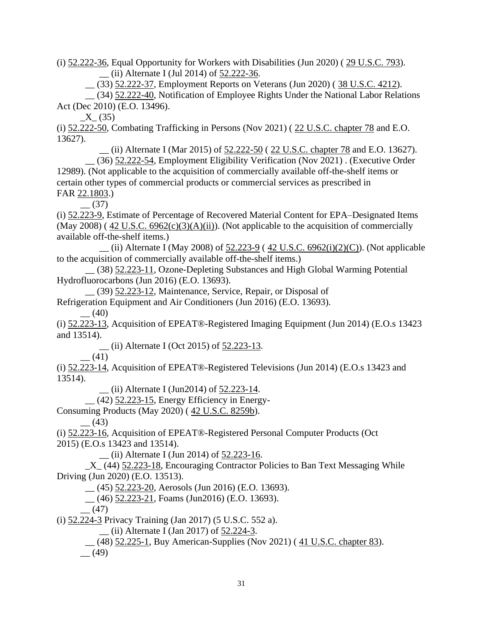(i) [52.222-36,](https://www.acquisition.gov/far/part-52#FAR_52_222_36) Equal Opportunity for Workers with Disabilities (Jun 2020) ( 29 [U.S.C.](http://uscode.house.gov/view.xhtml?req=granuleid:USC-prelim-title29-section793&num=0&edition=prelim) 793). \_\_ (ii) Alternate I (Jul 2014) of [52.222-36.](https://www.acquisition.gov/far/part-52#FAR_52_222_36)

\_\_ (33) [52.222-37,](https://www.acquisition.gov/far/part-52#FAR_52_222_37) Employment Reports on Veterans (Jun 2020) ( 38 [U.S.C.](http://uscode.house.gov/view.xhtml?req=granuleid:USC-prelim-title38-section4212&num=0&edition=prelim) 4212).

 \_\_ (34) [52.222-40,](https://www.acquisition.gov/far/part-52#FAR_52_222_40) Notification of Employee Rights Under the National Labor Relations Act (Dec 2010) (E.O. 13496).

 $X_{-}$  (35)

(i) [52.222-50,](https://www.acquisition.gov/far/part-52#FAR_52_222_50) Combating Trafficking in Persons (Nov 2021) ( 22 U.S.C. [chapter](http://uscode.house.gov/browse.xhtml;jsessionid=114A3287C7B3359E597506A31FC855B3) 78 and E.O. 13627).

\_\_ (ii) Alternate I (Mar 2015) of [52.222-50](https://www.acquisition.gov/far/part-52#FAR_52_222_50) ( 22 U.S.C. [chapter](http://uscode.house.gov/browse.xhtml;jsessionid=114A3287C7B3359E597506A31FC855B3) 78 and E.O. 13627).

 \_\_ (36) [52.222-54,](https://www.acquisition.gov/far/part-52#FAR_52_222_54) Employment Eligibility Verification (Nov 2021) . (Executive Order 12989). (Not applicable to the acquisition of commercially available off-the-shelf items or certain other types of commercial products or commercial services as prescribed in FAR [22.1803.](https://www.acquisition.gov/far/part-22#FAR_22_1803))

 $(37)$ 

(i) [52.223-9,](https://www.acquisition.gov/far/part-52#FAR_52_223_9) Estimate of Percentage of Recovered Material Content for EPA–Designated Items (May 2008) (42 U.S.C.  $6962(c)(3)(A)(ii)$ ). (Not applicable to the acquisition of commercially available off-the-shelf items.)

(ii) Alternate I (May 2008) of  $52.223-9$  (42 U.S.C. [6962\(i\)\(2\)\(C\)\)](http://uscode.house.gov/browse.xhtml;jsessionid=114A3287C7B3359E597506A31FC855B3). (Not applicable to the acquisition of commercially available off-the-shelf items.)

 \_\_ (38) [52.223-11,](https://www.acquisition.gov/far/part-52#FAR_52_223_11) Ozone-Depleting Substances and High Global Warming Potential Hydrofluorocarbons (Jun 2016) (E.O. 13693).

 \_\_ (39) [52.223-12,](https://www.acquisition.gov/far/part-52#FAR_52_223_12) Maintenance, Service, Repair, or Disposal of Refrigeration Equipment and Air Conditioners (Jun 2016) (E.O. 13693).

 $(40)$ 

(i) [52.223-13,](https://www.acquisition.gov/far/part-52#FAR_52_223_13) Acquisition of EPEAT®-Registered Imaging Equipment (Jun 2014) (E.O.s 13423 and 13514).

\_\_ (ii) Alternate I (Oct 2015) of [52.223-13.](https://www.acquisition.gov/far/part-52#FAR_52_223_13)

 $(41)$ 

(i) [52.223-14,](https://www.acquisition.gov/far/part-52#FAR_52_223_14) Acquisition of EPEAT®-Registered Televisions (Jun 2014) (E.O.s 13423 and 13514).

\_\_ (ii) Alternate I (Jun2014) of [52.223-14.](https://www.acquisition.gov/far/part-52#FAR_52_223_14)

 $(42)$  [52.223-15,](https://www.acquisition.gov/far/part-52#FAR_52_223_15) Energy Efficiency in Energy-

Consuming Products (May 2020) ( 42 U.S.C. [8259b\)](http://uscode.house.gov/browse.xhtml;jsessionid=114A3287C7B3359E597506A31FC855B3).

\_\_ (43)

(i) [52.223-16,](https://www.acquisition.gov/far/part-52#FAR_52_223_16) Acquisition of EPEAT®-Registered Personal Computer Products (Oct 2015) (E.O.s 13423 and 13514).

\_\_ (ii) Alternate I (Jun 2014) of [52.223-16.](https://www.acquisition.gov/far/part-52#FAR_52_223_16)

 \_X\_ (44) [52.223-18,](https://www.acquisition.gov/far/part-52#FAR_52_223_18) Encouraging Contractor Policies to Ban Text Messaging While Driving (Jun 2020) (E.O. 13513).

\_\_ (45) [52.223-20,](https://www.acquisition.gov/far/part-52#FAR_52_223_20) Aerosols (Jun 2016) (E.O. 13693).

\_\_ (46) [52.223-21,](https://www.acquisition.gov/far/part-52#FAR_52_223_21) Foams (Jun2016) (E.O. 13693).

\_\_ (47)

(i) [52.224-3](https://www.acquisition.gov/far/part-52#FAR_52_224_3) Privacy Training (Jan 2017) (5 U.S.C. 552 a).

\_\_ (ii) Alternate I (Jan 2017) of [52.224-3.](https://www.acquisition.gov/far/part-52#FAR_52_224_3)

 \_\_ (48) [52.225-1,](https://www.acquisition.gov/far/part-52#FAR_52_225_1) Buy American-Supplies (Nov 2021) ( 41 U.S.C. [chapter](http://uscode.house.gov/browse.xhtml;jsessionid=114A3287C7B3359E597506A31FC855B3) 83).  $(49)$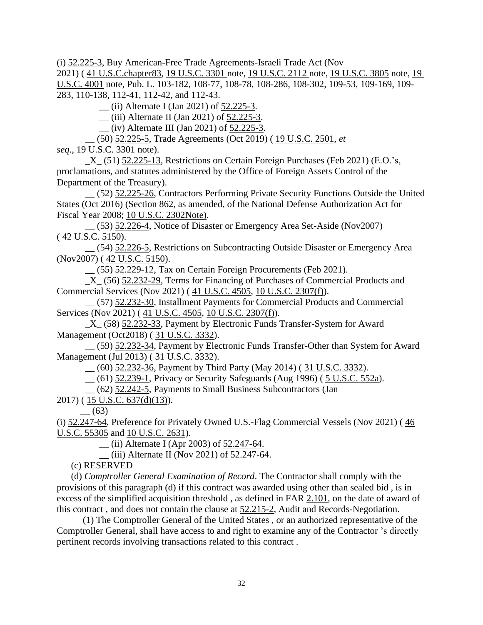(i) [52.225-3,](https://www.acquisition.gov/far/part-52#FAR_52_225_3) Buy American-Free Trade Agreements-Israeli Trade Act (Nov

2021) ( 41 [U.S.C.chapter83,](http://uscode.house.gov/browse.xhtml;jsessionid=114A3287C7B3359E597506A31FC855B3) 19 [U.S.C.](http://uscode.house.gov/browse.xhtml;jsessionid=114A3287C7B3359E597506A31FC855B3) 3301 note, 19 [U.S.C.](http://uscode.house.gov/browse.xhtml;jsessionid=114A3287C7B3359E597506A31FC855B3) 2112 note, 19 [U.S.C.](http://uscode.house.gov/browse.xhtml;jsessionid=114A3287C7B3359E597506A31FC855B3) 3805 note, [19](http://uscode.house.gov/browse.xhtml;jsessionid=114A3287C7B3359E597506A31FC855B3) [U.S.C.](http://uscode.house.gov/browse.xhtml;jsessionid=114A3287C7B3359E597506A31FC855B3) 4001 note, Pub. L. 103-182, 108-77, 108-78, 108-286, 108-302, 109-53, 109-169, 109- 283, 110-138, 112-41, 112-42, and 112-43.

\_\_ (ii) Alternate I (Jan 2021) of [52.225-3.](https://www.acquisition.gov/far/part-52#FAR_52_225_3)

\_\_ (iii) Alternate II (Jan 2021) of [52.225-3.](https://www.acquisition.gov/far/part-52#FAR_52_225_3)

\_\_ (iv) Alternate III (Jan 2021) of [52.225-3.](https://www.acquisition.gov/far/part-52#FAR_52_225_3)

 \_\_ (50) [52.225-5,](https://www.acquisition.gov/far/part-52#FAR_52_225_5) Trade Agreements (Oct 2019) ( 19 [U.S.C.](http://uscode.house.gov/view.xhtml?req=granuleid:USC-prelim-title19-section2501&num=0&edition=prelim) 2501, *et seq*., 19 [U.S.C.](http://uscode.house.gov/view.xhtml?req=granuleid:USC-prelim-title19-section3301&num=0&edition=prelim) 3301 note).

 $X_{-}$  (51) [52.225-13,](https://www.acquisition.gov/far/part-52#FAR_52_225_13) Restrictions on Certain Foreign Purchases (Feb 2021) (E.O.'s, proclamations, and statutes administered by the Office of Foreign Assets Control of the Department of the Treasury).

 \_\_ (52) [52.225-26,](https://www.acquisition.gov/far/part-52#FAR_52_225_26) Contractors Performing Private Security Functions Outside the United States (Oct 2016) (Section 862, as amended, of the National Defense Authorization Act for Fiscal Year 2008; 10 [U.S.C. 2302Note\).](http://uscode.house.gov/browse.xhtml;jsessionid=114A3287C7B3359E597506A31FC855B3)

 \_\_ (53) [52.226-4,](https://www.acquisition.gov/far/part-52#FAR_52_226_4) Notice of Disaster or Emergency Area Set-Aside (Nov2007) ( 42 [U.S.C.](http://uscode.house.gov/browse.xhtml;jsessionid=114A3287C7B3359E597506A31FC855B3) 5150).

 \_\_ (54) [52.226-5,](https://www.acquisition.gov/far/part-52#FAR_52_226_5) Restrictions on Subcontracting Outside Disaster or Emergency Area (Nov2007) ( 42 [U.S.C.](http://uscode.house.gov/browse.xhtml;jsessionid=114A3287C7B3359E597506A31FC855B3) 5150).

 $(55)$  [52.229-12,](https://www.acquisition.gov/far/part-52#FAR_52_229_12) Tax on Certain Foreign Procurements (Feb 2021).

 \_X\_ (56) [52.232-29,](https://www.acquisition.gov/far/part-52#FAR_52_232_29) Terms for Financing of Purchases of Commercial Products and Commercial Services (Nov 2021) ( 41 [U.S.C.](http://uscode.house.gov/browse.xhtml;jsessionid=114A3287C7B3359E597506A31FC855B3) 4505, 10 U.S.C. [2307\(f\)\)](http://uscode.house.gov/browse.xhtml;jsessionid=114A3287C7B3359E597506A31FC855B3).

 \_\_ (57) [52.232-30,](https://www.acquisition.gov/far/part-52#FAR_52_232_30) Installment Payments for Commercial Products and Commercial Services (Nov 2021) ( 41 [U.S.C.](http://uscode.house.gov/browse.xhtml;jsessionid=114A3287C7B3359E597506A31FC855B3) 4505, 10 U.S.C. [2307\(f\)\)](http://uscode.house.gov/browse.xhtml;jsessionid=114A3287C7B3359E597506A31FC855B3).

 \_X\_ (58) [52.232-33,](https://www.acquisition.gov/far/part-52#FAR_52_232_33) Payment by Electronic Funds Transfer-System for Award Management (Oct2018) ( 31 [U.S.C.](http://uscode.house.gov/view.xhtml?req=granuleid:USC-prelim-title31-section3332&num=0&edition=prelim) 3332).

 \_\_ (59) [52.232-34,](https://www.acquisition.gov/far/part-52#FAR_52_232_34) Payment by Electronic Funds Transfer-Other than System for Award Management (Jul 2013) ( 31 [U.S.C.](http://uscode.house.gov/browse.xhtml;jsessionid=114A3287C7B3359E597506A31FC855B3) 3332).

\_\_ (60) [52.232-36,](https://www.acquisition.gov/far/part-52#FAR_52_232_36) Payment by Third Party (May 2014) ( 31 [U.S.C.](http://uscode.house.gov/browse.xhtml;jsessionid=114A3287C7B3359E597506A31FC855B3) 3332).

\_\_ (61) [52.239-1,](https://www.acquisition.gov/far/part-52#FAR_52_239_1) Privacy or Security Safeguards (Aug 1996) ( 5 [U.S.C.](http://uscode.house.gov/view.xhtml?req=granuleid:USC-prelim-title5-section552a&num=0&edition=prelim) 552a).

\_\_ (62) [52.242-5,](https://www.acquisition.gov/far/part-52#FAR_52_242_5) Payments to Small Business Subcontractors (Jan

2017) ( 15 U.S.C. [637\(d\)\(13\)\)](http://uscode.house.gov/browse.xhtml;jsessionid=114A3287C7B3359E597506A31FC855B3).

\_\_ (63)

(i) [52.247-64,](https://www.acquisition.gov/far/part-52#FAR_52_247_64) Preference for Privately Owned U.S.-Flag Commercial Vessels (Nov 2021) ( [46](https://www.govinfo.gov/content/pkg/USCODE-2019-title46/html/USCODE-2019-title46-subtitleV-partD-chap553-subchapI-sec55305.htm)  [U.S.C. 55305](https://www.govinfo.gov/content/pkg/USCODE-2019-title46/html/USCODE-2019-title46-subtitleV-partD-chap553-subchapI-sec55305.htm) and 10 [U.S.C.](http://uscode.house.gov/browse.xhtml;jsessionid=114A3287C7B3359E597506A31FC855B3) 2631).

\_\_ (ii) Alternate I (Apr 2003) of [52.247-64.](https://www.acquisition.gov/far/part-52#FAR_52_247_64)

\_\_ (iii) Alternate II (Nov 2021) of [52.247-64.](https://www.acquisition.gov/far/part-52#FAR_52_247_64)

(c) RESERVED

 (d) *Comptroller General Examination of Record*. The Contractor shall comply with the provisions of this paragraph (d) if this contract was awarded using other than sealed bid , is in excess of the simplified acquisition threshold, as defined in FAR [2.101,](https://www.acquisition.gov/far/part-2#FAR_2_101) on the date of award of this contract , and does not contain the clause at [52.215-2,](https://www.acquisition.gov/far/part-52#FAR_52_215_2) Audit and Records-Negotiation.

 (1) The Comptroller General of the United States , or an authorized representative of the Comptroller General, shall have access to and right to examine any of the Contractor 's directly pertinent records involving transactions related to this contract .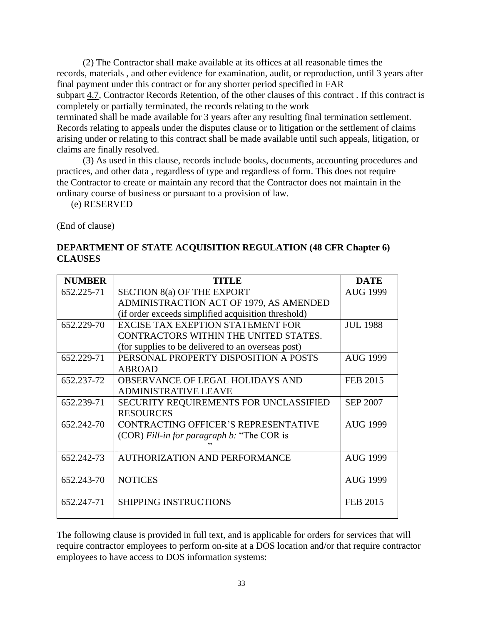(2) The Contractor shall make available at its offices at all reasonable times the records, materials , and other evidence for examination, audit, or reproduction, until 3 years after final payment under this contract or for any shorter period specified in FAR subpart [4.7,](https://www.acquisition.gov/far/part-4#FAR_Subpart_4_7) Contractor Records Retention, of the other clauses of this contract . If this contract is completely or partially terminated, the records relating to the work terminated shall be made available for 3 years after any resulting final termination settlement. Records relating to appeals under the disputes clause or to litigation or the settlement of claims arising under or relating to this contract shall be made available until such appeals, litigation, or

claims are finally resolved.

 (3) As used in this clause, records include books, documents, accounting procedures and practices, and other data , regardless of type and regardless of form. This does not require the Contractor to create or maintain any record that the Contractor does not maintain in the ordinary course of business or pursuant to a provision of law.

(e) RESERVED

(End of clause)

| <b>DEPARTMENT OF STATE ACQUISITION REGULATION (48 CFR Chapter 6)</b> |  |
|----------------------------------------------------------------------|--|
| <b>CLAUSES</b>                                                       |  |

| <b>NUMBER</b> | <b>TITLE</b>                                        | <b>DATE</b>     |
|---------------|-----------------------------------------------------|-----------------|
| 652.225-71    | SECTION 8(a) OF THE EXPORT                          | <b>AUG 1999</b> |
|               | ADMINISTRACTION ACT OF 1979, AS AMENDED             |                 |
|               | (if order exceeds simplified acquisition threshold) |                 |
| 652.229-70    | <b>EXCISE TAX EXEPTION STATEMENT FOR</b>            | <b>JUL 1988</b> |
|               | CONTRACTORS WITHIN THE UNITED STATES.               |                 |
|               | (for supplies to be delivered to an overseas post)  |                 |
| 652.229-71    | PERSONAL PROPERTY DISPOSITION A POSTS               | <b>AUG 1999</b> |
|               | <b>ABROAD</b>                                       |                 |
| 652.237-72    | OBSERVANCE OF LEGAL HOLIDAYS AND                    | <b>FEB 2015</b> |
|               | <b>ADMINISTRATIVE LEAVE</b>                         |                 |
| 652.239-71    | SECURITY REQUIREMENTS FOR UNCLASSIFIED              | <b>SEP 2007</b> |
|               | <b>RESOURCES</b>                                    |                 |
| 652.242-70    | CONTRACTING OFFICER'S REPRESENTATIVE                | <b>AUG 1999</b> |
|               | (COR) Fill-in for paragraph b: "The COR is          |                 |
|               |                                                     |                 |
| 652.242-73    | AUTHORIZATION AND PERFORMANCE                       | <b>AUG 1999</b> |
|               |                                                     |                 |
| 652.243-70    | <b>NOTICES</b>                                      | <b>AUG 1999</b> |
|               |                                                     |                 |
| 652.247-71    | <b>SHIPPING INSTRUCTIONS</b>                        | <b>FEB 2015</b> |
|               |                                                     |                 |

The following clause is provided in full text, and is applicable for orders for services that will require contractor employees to perform on-site at a DOS location and/or that require contractor employees to have access to DOS information systems: